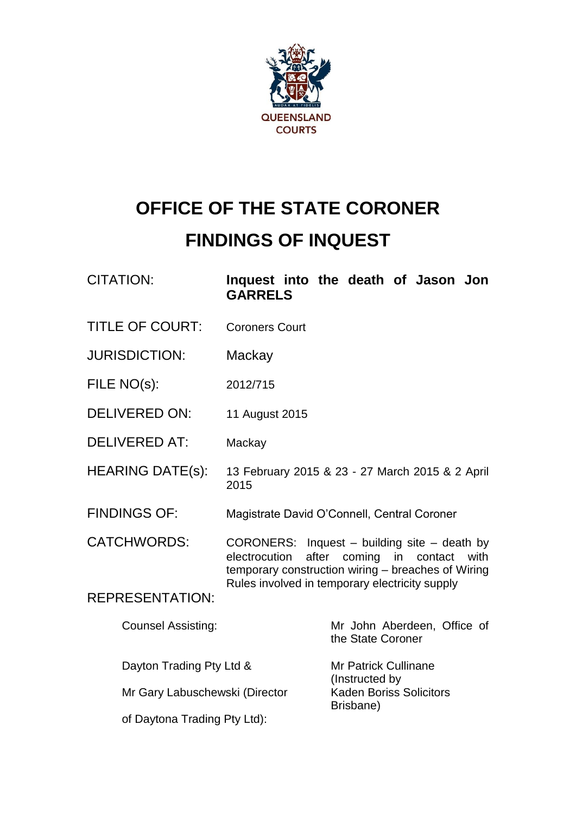

# **OFFICE OF THE STATE CORONER FINDINGS OF INQUEST**

CITATION: **Inquest into the death of Jason Jon GARRELS**

- TITLE OF COURT: Coroners Court
- JURISDICTION: Mackay
- FILE NO(s): 2012/715
- DELIVERED ON: 11 August 2015
- DELIVERED AT: Mackay
- HEARING DATE(s): 13 February 2015 & 23 27 March 2015 & 2 April 2015
- FINDINGS OF: Magistrate David O'Connell, Central Coroner

CATCHWORDS: CORONERS: Inquest – building site – death by electrocution after coming in contact with temporary construction wiring – breaches of Wiring Rules involved in temporary electricity supply

REPRESENTATION:

| <b>Counsel Assisting:</b>      | Mr John Aberdeen, Office of<br>the State Coroner |
|--------------------------------|--------------------------------------------------|
| Dayton Trading Pty Ltd &       | <b>Mr Patrick Cullinane</b><br>(Instructed by    |
| Mr Gary Labuschewski (Director | <b>Kaden Boriss Solicitors</b><br>Brisbane)      |
| of Daytona Trading Pty Ltd):   |                                                  |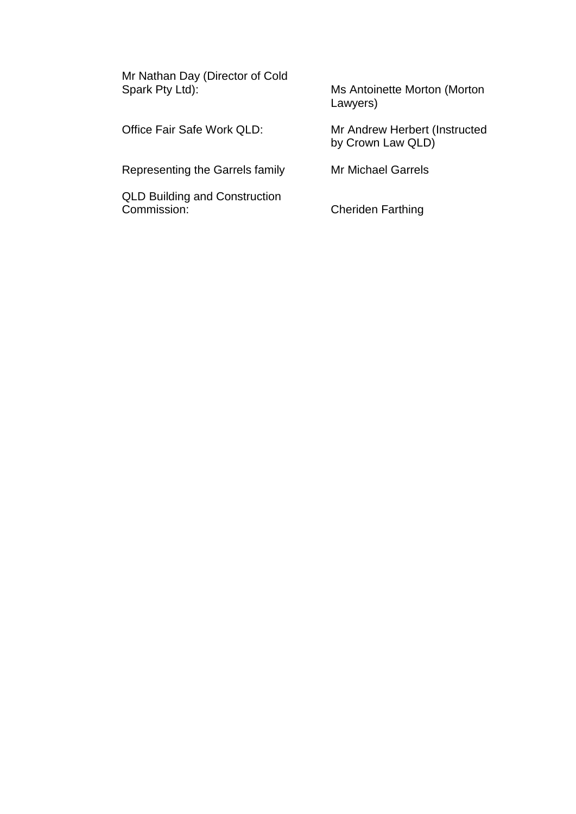Mr Nathan Day (Director of Cold<br>Spark Pty Ltd):

Ms Antoinette Morton (Morton Lawyers)

Office Fair Safe Work QLD: Mr Andrew Herbert (Instructed by Crown Law QLD)

Representing the Garrels family Mr Michael Garrels

QLD Building and Construction<br>Commission:

**Cheriden Farthing**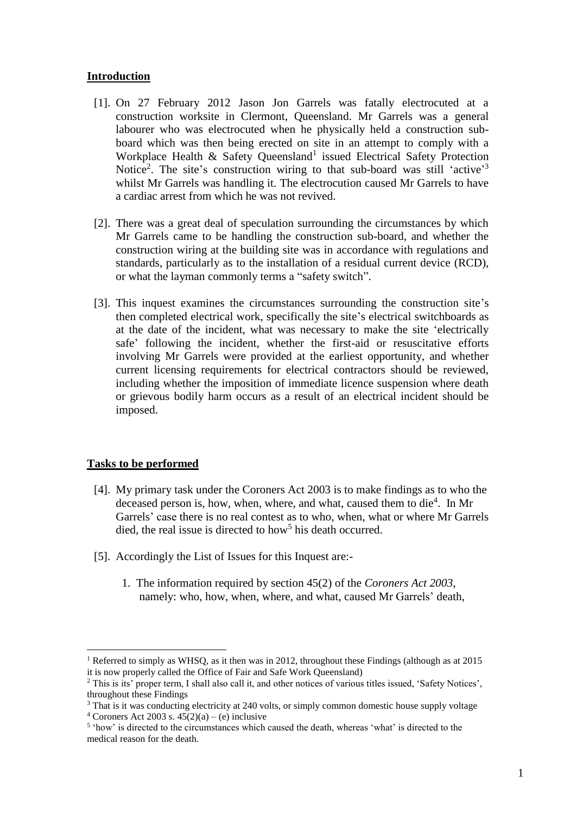### **Introduction**

- [1]. On 27 February 2012 Jason Jon Garrels was fatally electrocuted at a construction worksite in Clermont, Queensland. Mr Garrels was a general labourer who was electrocuted when he physically held a construction subboard which was then being erected on site in an attempt to comply with a Workplace Health & Safety Queensland<sup>1</sup> issued Electrical Safety Protection Notice<sup>2</sup>. The site's construction wiring to that sub-board was still 'active'<sup>3</sup> whilst Mr Garrels was handling it. The electrocution caused Mr Garrels to have a cardiac arrest from which he was not revived.
- [2]. There was a great deal of speculation surrounding the circumstances by which Mr Garrels came to be handling the construction sub-board, and whether the construction wiring at the building site was in accordance with regulations and standards, particularly as to the installation of a residual current device (RCD), or what the layman commonly terms a "safety switch".
- [3]. This inquest examines the circumstances surrounding the construction site's then completed electrical work, specifically the site's electrical switchboards as at the date of the incident, what was necessary to make the site 'electrically safe' following the incident, whether the first-aid or resuscitative efforts involving Mr Garrels were provided at the earliest opportunity, and whether current licensing requirements for electrical contractors should be reviewed, including whether the imposition of immediate licence suspension where death or grievous bodily harm occurs as a result of an electrical incident should be imposed.

## **Tasks to be performed**

- [4]. My primary task under the Coroners Act 2003 is to make findings as to who the deceased person is, how, when, where, and what, caused them to die<sup>4</sup>. In Mr Garrels' case there is no real contest as to who, when, what or where Mr Garrels died, the real issue is directed to how<sup>5</sup> his death occurred.
- [5]. Accordingly the List of Issues for this Inquest are:-
	- 1. The information required by section 45(2) of the *Coroners Act 2003*, namely: who, how, when, where, and what, caused Mr Garrels' death,

<sup>&</sup>lt;sup>1</sup> Referred to simply as WHSQ, as it then was in 2012, throughout these Findings (although as at 2015 it is now properly called the Office of Fair and Safe Work Queensland)

<sup>2</sup> This is its' proper term, I shall also call it, and other notices of various titles issued, 'Safety Notices', throughout these Findings

<sup>&</sup>lt;sup>3</sup> That is it was conducting electricity at 240 volts, or simply common domestic house supply voltage <sup>4</sup> Coroners Act 2003 s.  $45(2)(a) - (e)$  inclusive

<sup>&</sup>lt;sup>5</sup> 'how' is directed to the circumstances which caused the death, whereas 'what' is directed to the medical reason for the death.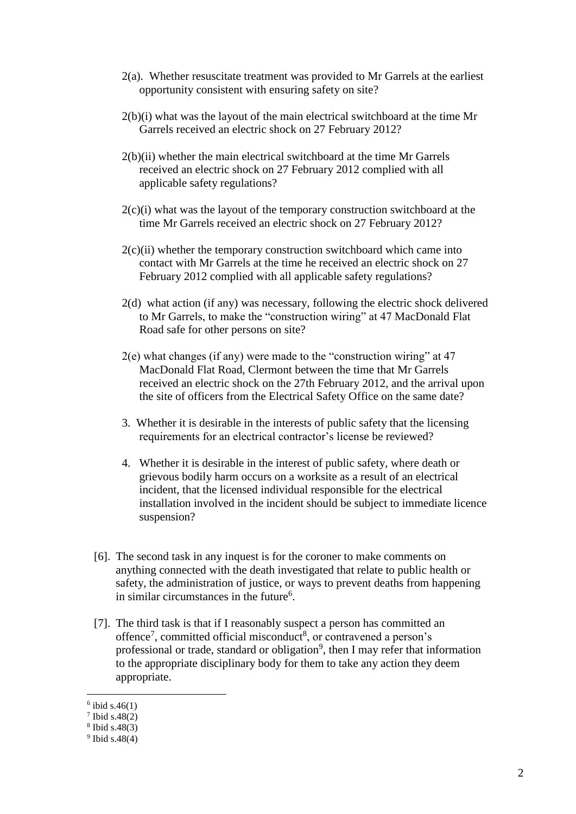- 2(a). Whether resuscitate treatment was provided to Mr Garrels at the earliest opportunity consistent with ensuring safety on site?
- 2(b)(i) what was the layout of the main electrical switchboard at the time Mr Garrels received an electric shock on 27 February 2012?
- 2(b)(ii) whether the main electrical switchboard at the time Mr Garrels received an electric shock on 27 February 2012 complied with all applicable safety regulations?
- $2(c)(i)$  what was the layout of the temporary construction switchboard at the time Mr Garrels received an electric shock on 27 February 2012?
- $2(c)(ii)$  whether the temporary construction switchboard which came into contact with Mr Garrels at the time he received an electric shock on 27 February 2012 complied with all applicable safety regulations?
- 2(d) what action (if any) was necessary, following the electric shock delivered to Mr Garrels, to make the "construction wiring" at 47 MacDonald Flat Road safe for other persons on site?
- $2(e)$  what changes (if any) were made to the "construction wiring" at 47 MacDonald Flat Road, Clermont between the time that Mr Garrels received an electric shock on the 27th February 2012, and the arrival upon the site of officers from the Electrical Safety Office on the same date?
- 3. Whether it is desirable in the interests of public safety that the licensing requirements for an electrical contractor's license be reviewed?
- 4. Whether it is desirable in the interest of public safety, where death or grievous bodily harm occurs on a worksite as a result of an electrical incident, that the licensed individual responsible for the electrical installation involved in the incident should be subject to immediate licence suspension?
- [6]. The second task in any inquest is for the coroner to make comments on anything connected with the death investigated that relate to public health or safety, the administration of justice, or ways to prevent deaths from happening in similar circumstances in the future<sup>6</sup>.
- [7]. The third task is that if I reasonably suspect a person has committed an offence<sup>7</sup>, committed official misconduct<sup>8</sup>, or contravened a person's professional or trade, standard or obligation<sup>9</sup>, then I may refer that information to the appropriate disciplinary body for them to take any action they deem appropriate.

 $6$  ibid s.46(1)

<sup>7</sup> Ibid s.48(2)

<sup>8</sup> Ibid s.48(3)

<sup>9</sup> Ibid s.48(4)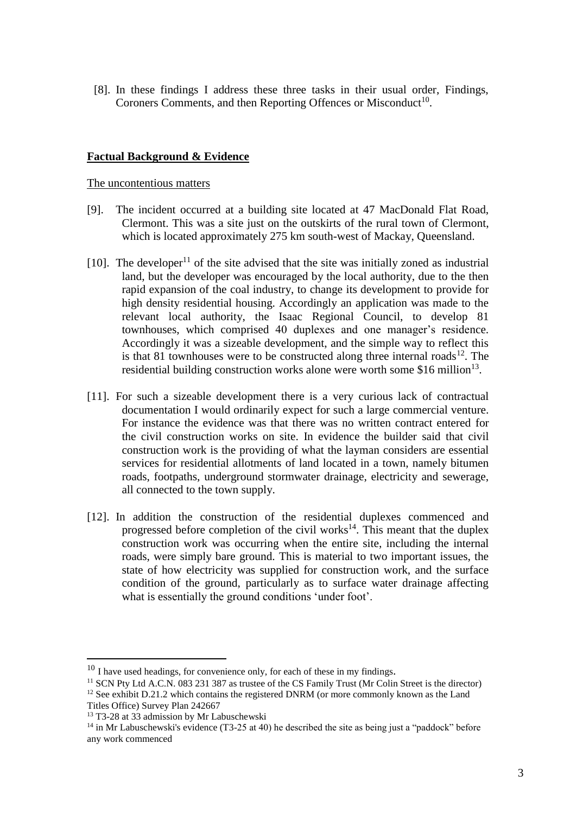[8]. In these findings I address these three tasks in their usual order, Findings, Coroners Comments, and then Reporting Offences or Misconduct<sup>10</sup>.

## **Factual Background & Evidence**

The uncontentious matters

- [9]. The incident occurred at a building site located at 47 MacDonald Flat Road, Clermont. This was a site just on the outskirts of the rural town of Clermont, which is located approximately 275 km south-west of Mackay, Queensland.
- [10]. The developer<sup>11</sup> of the site advised that the site was initially zoned as industrial land, but the developer was encouraged by the local authority, due to the then rapid expansion of the coal industry, to change its development to provide for high density residential housing. Accordingly an application was made to the relevant local authority, the Isaac Regional Council, to develop 81 townhouses, which comprised 40 duplexes and one manager's residence. Accordingly it was a sizeable development, and the simple way to reflect this is that 81 townhouses were to be constructed along three internal roads<sup>12</sup>. The residential building construction works alone were worth some \$16 million<sup>13</sup>.
- [11]. For such a sizeable development there is a very curious lack of contractual documentation I would ordinarily expect for such a large commercial venture. For instance the evidence was that there was no written contract entered for the civil construction works on site. In evidence the builder said that civil construction work is the providing of what the layman considers are essential services for residential allotments of land located in a town, namely bitumen roads, footpaths, underground stormwater drainage, electricity and sewerage, all connected to the town supply.
- [12]. In addition the construction of the residential duplexes commenced and progressed before completion of the civil works<sup>14</sup>. This meant that the duplex construction work was occurring when the entire site, including the internal roads, were simply bare ground. This is material to two important issues, the state of how electricity was supplied for construction work, and the surface condition of the ground, particularly as to surface water drainage affecting what is essentially the ground conditions 'under foot'.

 $10$  I have used headings, for convenience only, for each of these in my findings.

<sup>&</sup>lt;sup>11</sup> SCN Pty Ltd A.C.N. 083 231 387 as trustee of the CS Family Trust (Mr Colin Street is the director)

 $12$  See exhibit D.21.2 which contains the registered DNRM (or more commonly known as the Land Titles Office) Survey Plan 242667

 $13$  T3-28 at 33 admission by Mr Labuschewski

 $14$  in Mr Labuschewski's evidence (T3-25 at 40) he described the site as being just a "paddock" before any work commenced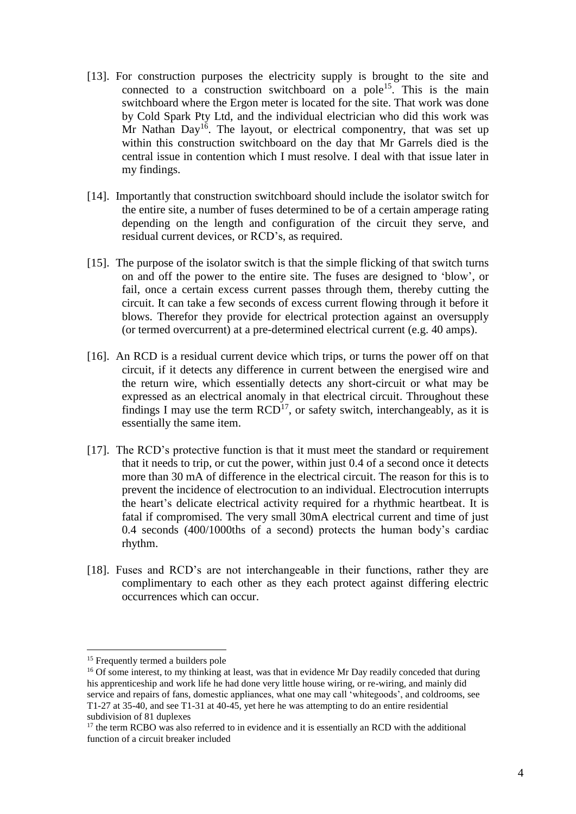- [13]. For construction purposes the electricity supply is brought to the site and connected to a construction switchboard on a pole<sup>15</sup>. This is the main switchboard where the Ergon meter is located for the site. That work was done by Cold Spark Pty Ltd, and the individual electrician who did this work was Mr Nathan  $Day<sup>16</sup>$ . The layout, or electrical componentry, that was set up within this construction switchboard on the day that Mr Garrels died is the central issue in contention which I must resolve. I deal with that issue later in my findings.
- [14]. Importantly that construction switchboard should include the isolator switch for the entire site, a number of fuses determined to be of a certain amperage rating depending on the length and configuration of the circuit they serve, and residual current devices, or RCD's, as required.
- [15]. The purpose of the isolator switch is that the simple flicking of that switch turns on and off the power to the entire site. The fuses are designed to 'blow', or fail, once a certain excess current passes through them, thereby cutting the circuit. It can take a few seconds of excess current flowing through it before it blows. Therefor they provide for electrical protection against an oversupply (or termed overcurrent) at a pre-determined electrical current (e.g. 40 amps).
- [16]. An RCD is a residual current device which trips, or turns the power off on that circuit, if it detects any difference in current between the energised wire and the return wire, which essentially detects any short-circuit or what may be expressed as an electrical anomaly in that electrical circuit. Throughout these findings I may use the term  $RCD<sup>17</sup>$ , or safety switch, interchangeably, as it is essentially the same item.
- [17]. The RCD's protective function is that it must meet the standard or requirement that it needs to trip, or cut the power, within just 0.4 of a second once it detects more than 30 mA of difference in the electrical circuit. The reason for this is to prevent the incidence of electrocution to an individual. Electrocution interrupts the heart's delicate electrical activity required for a rhythmic heartbeat. It is fatal if compromised. The very small 30mA electrical current and time of just 0.4 seconds (400/1000ths of a second) protects the human body's cardiac rhythm.
- [18]. Fuses and RCD's are not interchangeable in their functions, rather they are complimentary to each other as they each protect against differing electric occurrences which can occur.

<sup>&</sup>lt;sup>15</sup> Frequently termed a builders pole

<sup>&</sup>lt;sup>16</sup> Of some interest, to my thinking at least, was that in evidence Mr Day readily conceded that during his apprenticeship and work life he had done very little house wiring, or re-wiring, and mainly did service and repairs of fans, domestic appliances, what one may call 'whitegoods', and coldrooms, see T1-27 at 35-40, and see T1-31 at 40-45, yet here he was attempting to do an entire residential subdivision of 81 duplexes

 $17$  the term RCBO was also referred to in evidence and it is essentially an RCD with the additional function of a circuit breaker included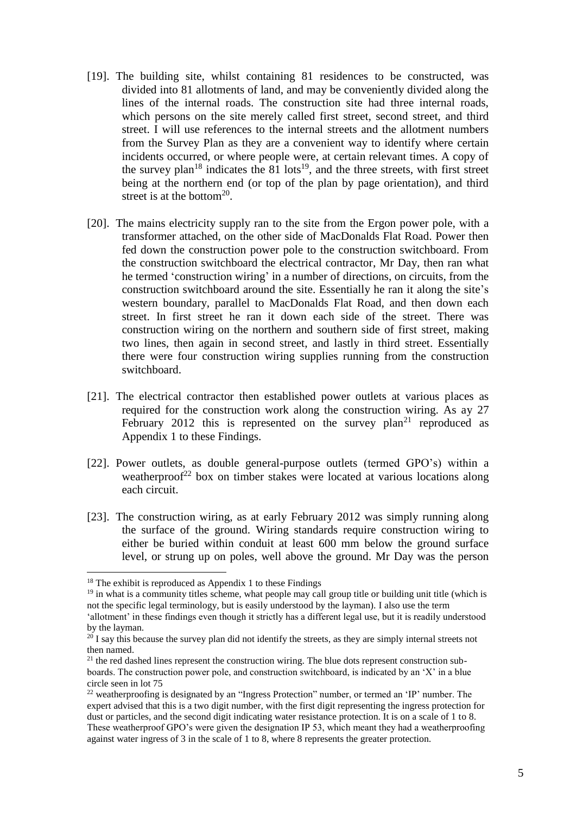- [19]. The building site, whilst containing 81 residences to be constructed, was divided into 81 allotments of land, and may be conveniently divided along the lines of the internal roads. The construction site had three internal roads, which persons on the site merely called first street, second street, and third street. I will use references to the internal streets and the allotment numbers from the Survey Plan as they are a convenient way to identify where certain incidents occurred, or where people were, at certain relevant times. A copy of the survey plan<sup>18</sup> indicates the 81 lots<sup>19</sup>, and the three streets, with first street being at the northern end (or top of the plan by page orientation), and third street is at the bottom $^{20}$ .
- [20]. The mains electricity supply ran to the site from the Ergon power pole, with a transformer attached, on the other side of MacDonalds Flat Road. Power then fed down the construction power pole to the construction switchboard. From the construction switchboard the electrical contractor, Mr Day, then ran what he termed 'construction wiring' in a number of directions, on circuits, from the construction switchboard around the site. Essentially he ran it along the site's western boundary, parallel to MacDonalds Flat Road, and then down each street. In first street he ran it down each side of the street. There was construction wiring on the northern and southern side of first street, making two lines, then again in second street, and lastly in third street. Essentially there were four construction wiring supplies running from the construction switchboard.
- [21]. The electrical contractor then established power outlets at various places as required for the construction work along the construction wiring. As ay 27 February 2012 this is represented on the survey  $plan<sup>21</sup>$  reproduced as Appendix 1 to these Findings.
- [22]. Power outlets, as double general-purpose outlets (termed GPO's) within a weatherproof<sup>22</sup> box on timber stakes were located at various locations along each circuit.
- [23]. The construction wiring, as at early February 2012 was simply running along the surface of the ground. Wiring standards require construction wiring to either be buried within conduit at least 600 mm below the ground surface level, or strung up on poles, well above the ground. Mr Day was the person

 $18$  The exhibit is reproduced as Appendix 1 to these Findings

 $19$  in what is a community titles scheme, what people may call group title or building unit title (which is not the specific legal terminology, but is easily understood by the layman). I also use the term

<sup>&#</sup>x27;allotment' in these findings even though it strictly has a different legal use, but it is readily understood by the layman.

 $20$  I say this because the survey plan did not identify the streets, as they are simply internal streets not then named.

 $21$  the red dashed lines represent the construction wiring. The blue dots represent construction subboards. The construction power pole, and construction switchboard, is indicated by an 'X' in a blue circle seen in lot 75

<sup>&</sup>lt;sup>22</sup> weatherproofing is designated by an "Ingress Protection" number, or termed an 'IP' number. The expert advised that this is a two digit number, with the first digit representing the ingress protection for dust or particles, and the second digit indicating water resistance protection. It is on a scale of 1 to 8. These weatherproof GPO's were given the designation IP 53, which meant they had a weatherproofing against water ingress of 3 in the scale of 1 to 8, where 8 represents the greater protection.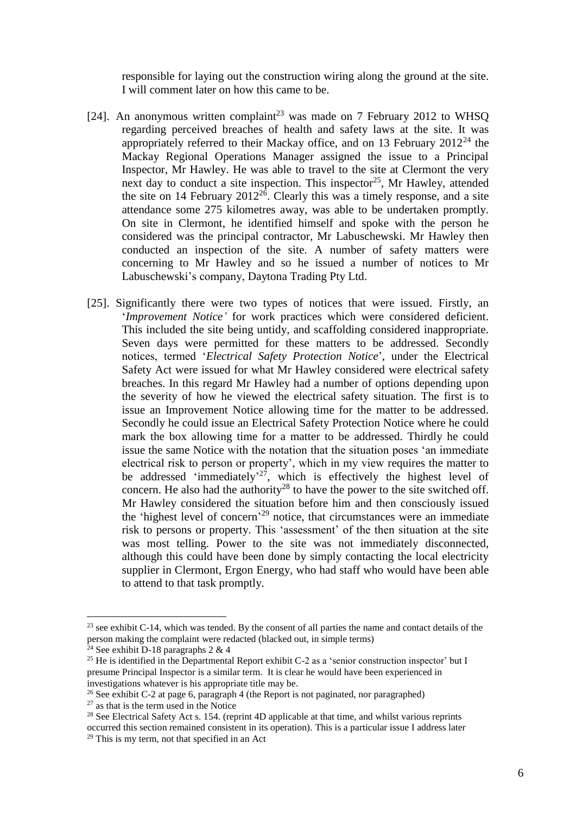responsible for laying out the construction wiring along the ground at the site. I will comment later on how this came to be.

- [24]. An anonymous written complaint<sup>23</sup> was made on 7 February 2012 to WHSQ regarding perceived breaches of health and safety laws at the site. It was appropriately referred to their Mackay office, and on 13 February  $2012^{24}$  the Mackay Regional Operations Manager assigned the issue to a Principal Inspector, Mr Hawley. He was able to travel to the site at Clermont the very next day to conduct a site inspection. This inspector<sup>25</sup>, Mr Hawley, attended the site on 14 February  $2012^{26}$ . Clearly this was a timely response, and a site attendance some 275 kilometres away, was able to be undertaken promptly. On site in Clermont, he identified himself and spoke with the person he considered was the principal contractor, Mr Labuschewski. Mr Hawley then conducted an inspection of the site. A number of safety matters were concerning to Mr Hawley and so he issued a number of notices to Mr Labuschewski's company, Daytona Trading Pty Ltd.
- [25]. Significantly there were two types of notices that were issued. Firstly, an '*Improvement Notice'* for work practices which were considered deficient. This included the site being untidy, and scaffolding considered inappropriate. Seven days were permitted for these matters to be addressed. Secondly notices, termed '*Electrical Safety Protection Notice*', under the Electrical Safety Act were issued for what Mr Hawley considered were electrical safety breaches. In this regard Mr Hawley had a number of options depending upon the severity of how he viewed the electrical safety situation. The first is to issue an Improvement Notice allowing time for the matter to be addressed. Secondly he could issue an Electrical Safety Protection Notice where he could mark the box allowing time for a matter to be addressed. Thirdly he could issue the same Notice with the notation that the situation poses 'an immediate electrical risk to person or property', which in my view requires the matter to be addressed 'immediately'<sup>27</sup>, which is effectively the highest level of concern. He also had the authority<sup>28</sup> to have the power to the site switched off. Mr Hawley considered the situation before him and then consciously issued the 'highest level of concern' <sup>29</sup> notice, that circumstances were an immediate risk to persons or property. This 'assessment' of the then situation at the site was most telling. Power to the site was not immediately disconnected, although this could have been done by simply contacting the local electricity supplier in Clermont, Ergon Energy, who had staff who would have been able to attend to that task promptly.

 $23$  see exhibit C-14, which was tended. By the consent of all parties the name and contact details of the person making the complaint were redacted (blacked out, in simple terms)

 $24$  See exhibit D-18 paragraphs 2 & 4

<sup>&</sup>lt;sup>25</sup> He is identified in the Departmental Report exhibit C-2 as a 'senior construction inspector' but I presume Principal Inspector is a similar term. It is clear he would have been experienced in investigations whatever is his appropriate title may be.

<sup>&</sup>lt;sup>26</sup> See exhibit C-2 at page 6, paragraph 4 (the Report is not paginated, nor paragraphed)

 $27$  as that is the term used in the Notice

 $28$  See Electrical Safety Act s. 154. (reprint 4D applicable at that time, and whilst various reprints occurred this section remained consistent in its operation). This is a particular issue I address later <sup>29</sup> This is my term, not that specified in an Act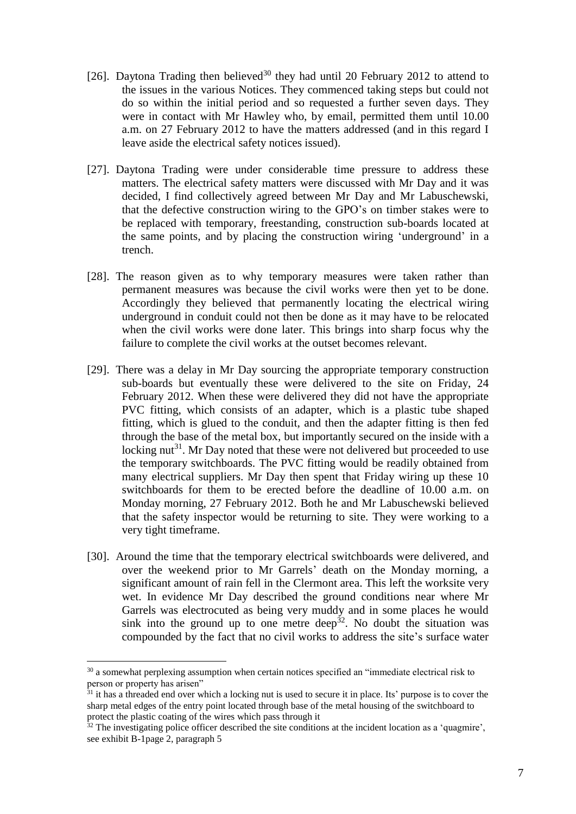- [26]. Daytona Trading then believed<sup>30</sup> they had until 20 February 2012 to attend to the issues in the various Notices. They commenced taking steps but could not do so within the initial period and so requested a further seven days. They were in contact with Mr Hawley who, by email, permitted them until 10.00 a.m. on 27 February 2012 to have the matters addressed (and in this regard I leave aside the electrical safety notices issued).
- [27]. Daytona Trading were under considerable time pressure to address these matters. The electrical safety matters were discussed with Mr Day and it was decided, I find collectively agreed between Mr Day and Mr Labuschewski, that the defective construction wiring to the GPO's on timber stakes were to be replaced with temporary, freestanding, construction sub-boards located at the same points, and by placing the construction wiring 'underground' in a trench.
- [28]. The reason given as to why temporary measures were taken rather than permanent measures was because the civil works were then yet to be done. Accordingly they believed that permanently locating the electrical wiring underground in conduit could not then be done as it may have to be relocated when the civil works were done later. This brings into sharp focus why the failure to complete the civil works at the outset becomes relevant.
- [29]. There was a delay in Mr Day sourcing the appropriate temporary construction sub-boards but eventually these were delivered to the site on Friday, 24 February 2012. When these were delivered they did not have the appropriate PVC fitting, which consists of an adapter, which is a plastic tube shaped fitting, which is glued to the conduit, and then the adapter fitting is then fed through the base of the metal box, but importantly secured on the inside with a locking nut<sup>31</sup>. Mr Day noted that these were not delivered but proceeded to use the temporary switchboards. The PVC fitting would be readily obtained from many electrical suppliers. Mr Day then spent that Friday wiring up these 10 switchboards for them to be erected before the deadline of 10.00 a.m. on Monday morning, 27 February 2012. Both he and Mr Labuschewski believed that the safety inspector would be returning to site. They were working to a very tight timeframe.
- [30]. Around the time that the temporary electrical switchboards were delivered, and over the weekend prior to Mr Garrels' death on the Monday morning, a significant amount of rain fell in the Clermont area. This left the worksite very wet. In evidence Mr Day described the ground conditions near where Mr Garrels was electrocuted as being very muddy and in some places he would sink into the ground up to one metre deep<sup>32</sup>. No doubt the situation was compounded by the fact that no civil works to address the site's surface water

<sup>&</sup>lt;sup>30</sup> a somewhat perplexing assumption when certain notices specified an "immediate electrical risk to person or property has arisen"

 $31$  it has a threaded end over which a locking nut is used to secure it in place. Its' purpose is to cover the sharp metal edges of the entry point located through base of the metal housing of the switchboard to protect the plastic coating of the wires which pass through it

 $32$  The investigating police officer described the site conditions at the incident location as a 'quagmire'. see exhibit B-1page 2, paragraph 5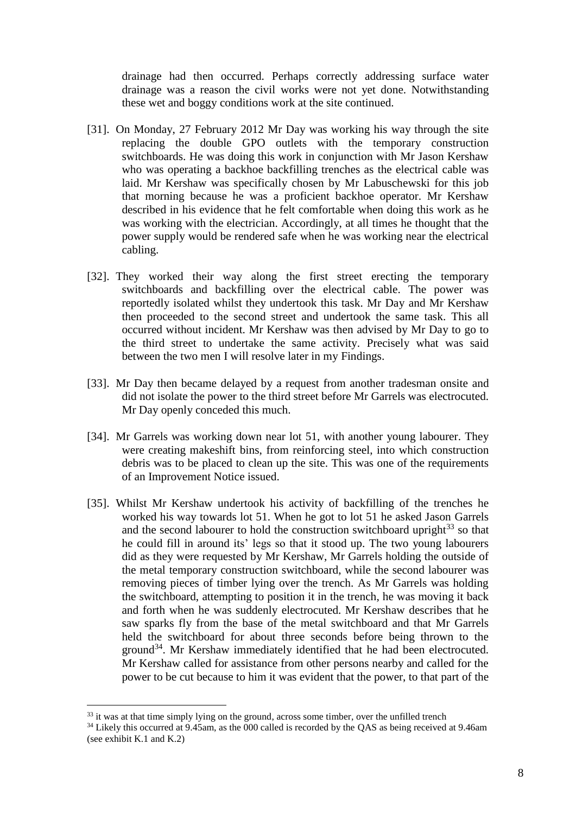drainage had then occurred. Perhaps correctly addressing surface water drainage was a reason the civil works were not yet done. Notwithstanding these wet and boggy conditions work at the site continued.

- [31]. On Monday, 27 February 2012 Mr Day was working his way through the site replacing the double GPO outlets with the temporary construction switchboards. He was doing this work in conjunction with Mr Jason Kershaw who was operating a backhoe backfilling trenches as the electrical cable was laid. Mr Kershaw was specifically chosen by Mr Labuschewski for this job that morning because he was a proficient backhoe operator. Mr Kershaw described in his evidence that he felt comfortable when doing this work as he was working with the electrician. Accordingly, at all times he thought that the power supply would be rendered safe when he was working near the electrical cabling.
- [32]. They worked their way along the first street erecting the temporary switchboards and backfilling over the electrical cable. The power was reportedly isolated whilst they undertook this task. Mr Day and Mr Kershaw then proceeded to the second street and undertook the same task. This all occurred without incident. Mr Kershaw was then advised by Mr Day to go to the third street to undertake the same activity. Precisely what was said between the two men I will resolve later in my Findings.
- [33]. Mr Day then became delayed by a request from another tradesman onsite and did not isolate the power to the third street before Mr Garrels was electrocuted. Mr Day openly conceded this much.
- [34]. Mr Garrels was working down near lot 51, with another young labourer. They were creating makeshift bins, from reinforcing steel, into which construction debris was to be placed to clean up the site. This was one of the requirements of an Improvement Notice issued.
- [35]. Whilst Mr Kershaw undertook his activity of backfilling of the trenches he worked his way towards lot 51. When he got to lot 51 he asked Jason Garrels and the second labourer to hold the construction switchboard upright $^{33}$  so that he could fill in around its' legs so that it stood up. The two young labourers did as they were requested by Mr Kershaw, Mr Garrels holding the outside of the metal temporary construction switchboard, while the second labourer was removing pieces of timber lying over the trench. As Mr Garrels was holding the switchboard, attempting to position it in the trench, he was moving it back and forth when he was suddenly electrocuted. Mr Kershaw describes that he saw sparks fly from the base of the metal switchboard and that Mr Garrels held the switchboard for about three seconds before being thrown to the ground<sup>34</sup>. Mr Kershaw immediately identified that he had been electrocuted. Mr Kershaw called for assistance from other persons nearby and called for the power to be cut because to him it was evident that the power, to that part of the

<sup>&</sup>lt;sup>33</sup> it was at that time simply lying on the ground, across some timber, over the unfilled trench

<sup>&</sup>lt;sup>34</sup> Likely this occurred at 9.45am, as the 000 called is recorded by the OAS as being received at 9.46am (see exhibit K.1 and K.2)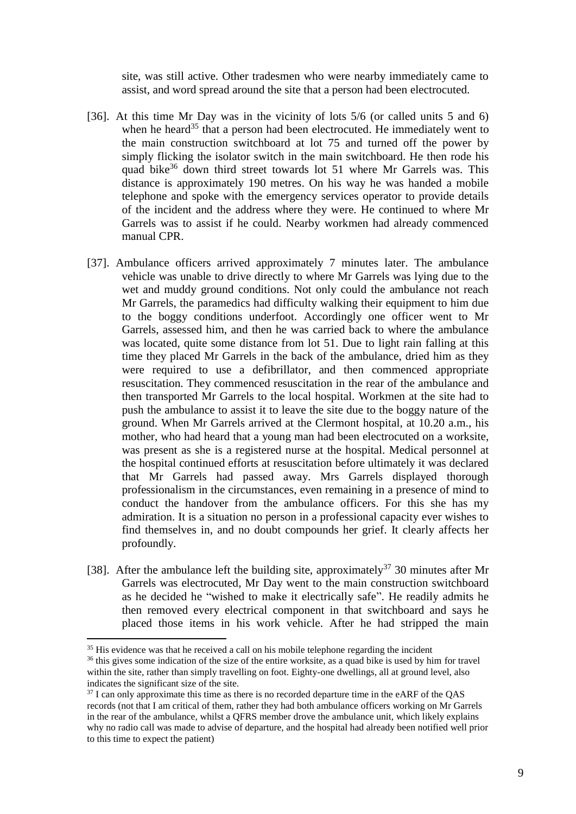site, was still active. Other tradesmen who were nearby immediately came to assist, and word spread around the site that a person had been electrocuted.

- [36]. At this time Mr Day was in the vicinity of lots 5/6 (or called units 5 and 6) when he heard<sup>35</sup> that a person had been electrocuted. He immediately went to the main construction switchboard at lot 75 and turned off the power by simply flicking the isolator switch in the main switchboard. He then rode his quad bike<sup>36</sup> down third street towards lot 51 where Mr Garrels was. This distance is approximately 190 metres. On his way he was handed a mobile telephone and spoke with the emergency services operator to provide details of the incident and the address where they were. He continued to where Mr Garrels was to assist if he could. Nearby workmen had already commenced manual CPR.
- [37]. Ambulance officers arrived approximately 7 minutes later. The ambulance vehicle was unable to drive directly to where Mr Garrels was lying due to the wet and muddy ground conditions. Not only could the ambulance not reach Mr Garrels, the paramedics had difficulty walking their equipment to him due to the boggy conditions underfoot. Accordingly one officer went to Mr Garrels, assessed him, and then he was carried back to where the ambulance was located, quite some distance from lot 51. Due to light rain falling at this time they placed Mr Garrels in the back of the ambulance, dried him as they were required to use a defibrillator, and then commenced appropriate resuscitation. They commenced resuscitation in the rear of the ambulance and then transported Mr Garrels to the local hospital. Workmen at the site had to push the ambulance to assist it to leave the site due to the boggy nature of the ground. When Mr Garrels arrived at the Clermont hospital, at 10.20 a.m., his mother, who had heard that a young man had been electrocuted on a worksite, was present as she is a registered nurse at the hospital. Medical personnel at the hospital continued efforts at resuscitation before ultimately it was declared that Mr Garrels had passed away. Mrs Garrels displayed thorough professionalism in the circumstances, even remaining in a presence of mind to conduct the handover from the ambulance officers. For this she has my admiration. It is a situation no person in a professional capacity ever wishes to find themselves in, and no doubt compounds her grief. It clearly affects her profoundly.
- [38]. After the ambulance left the building site, approximately<sup>37</sup> 30 minutes after Mr Garrels was electrocuted, Mr Day went to the main construction switchboard as he decided he "wished to make it electrically safe". He readily admits he then removed every electrical component in that switchboard and says he placed those items in his work vehicle. After he had stripped the main

 $35$  His evidence was that he received a call on his mobile telephone regarding the incident

<sup>&</sup>lt;sup>36</sup> this gives some indication of the size of the entire worksite, as a quad bike is used by him for travel within the site, rather than simply travelling on foot. Eighty-one dwellings, all at ground level, also indicates the significant size of the site.

<sup>&</sup>lt;sup>37</sup> I can only approximate this time as there is no recorded departure time in the eARF of the OAS records (not that I am critical of them, rather they had both ambulance officers working on Mr Garrels in the rear of the ambulance, whilst a QFRS member drove the ambulance unit, which likely explains why no radio call was made to advise of departure, and the hospital had already been notified well prior to this time to expect the patient)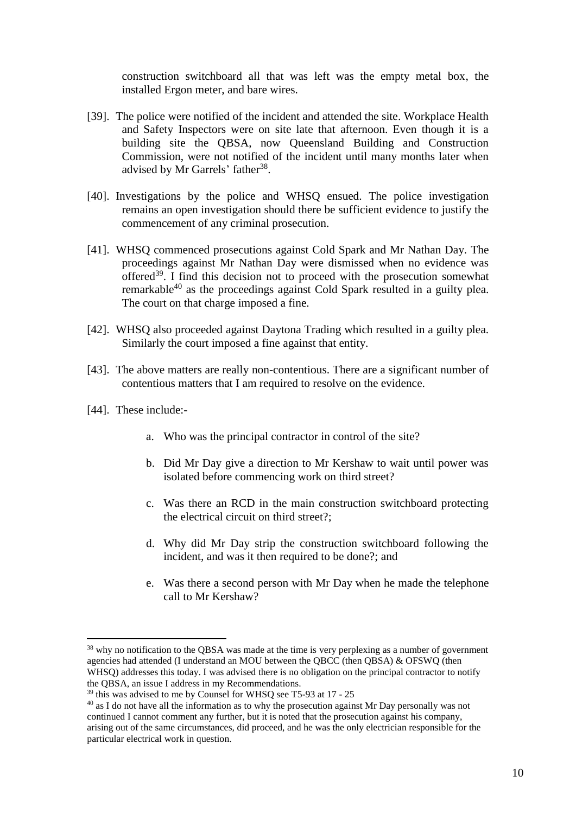construction switchboard all that was left was the empty metal box, the installed Ergon meter, and bare wires.

- [39]. The police were notified of the incident and attended the site. Workplace Health and Safety Inspectors were on site late that afternoon. Even though it is a building site the QBSA, now Queensland Building and Construction Commission, were not notified of the incident until many months later when advised by Mr Garrels' father<sup>38</sup>.
- [40]. Investigations by the police and WHSQ ensued. The police investigation remains an open investigation should there be sufficient evidence to justify the commencement of any criminal prosecution.
- [41]. WHSQ commenced prosecutions against Cold Spark and Mr Nathan Day. The proceedings against Mr Nathan Day were dismissed when no evidence was offered<sup>39</sup>. I find this decision not to proceed with the prosecution somewhat remarkable<sup>40</sup> as the proceedings against Cold Spark resulted in a guilty plea. The court on that charge imposed a fine.
- [42]. WHSQ also proceeded against Daytona Trading which resulted in a guilty plea. Similarly the court imposed a fine against that entity.
- [43]. The above matters are really non-contentious. There are a significant number of contentious matters that I am required to resolve on the evidence.
- [44]. These include:-

- a. Who was the principal contractor in control of the site?
- b. Did Mr Day give a direction to Mr Kershaw to wait until power was isolated before commencing work on third street?
- c. Was there an RCD in the main construction switchboard protecting the electrical circuit on third street?;
- d. Why did Mr Day strip the construction switchboard following the incident, and was it then required to be done?; and
- e. Was there a second person with Mr Day when he made the telephone call to Mr Kershaw?

<sup>&</sup>lt;sup>38</sup> why no notification to the QBSA was made at the time is very perplexing as a number of government agencies had attended (I understand an MOU between the QBCC (then QBSA) & OFSWQ (then WHSQ) addresses this today. I was advised there is no obligation on the principal contractor to notify the QBSA, an issue I address in my Recommendations.

 $39$  this was advised to me by Counsel for WHSO see T5-93 at 17 - 25

<sup>&</sup>lt;sup>40</sup> as I do not have all the information as to why the prosecution against Mr Day personally was not continued I cannot comment any further, but it is noted that the prosecution against his company, arising out of the same circumstances, did proceed, and he was the only electrician responsible for the particular electrical work in question.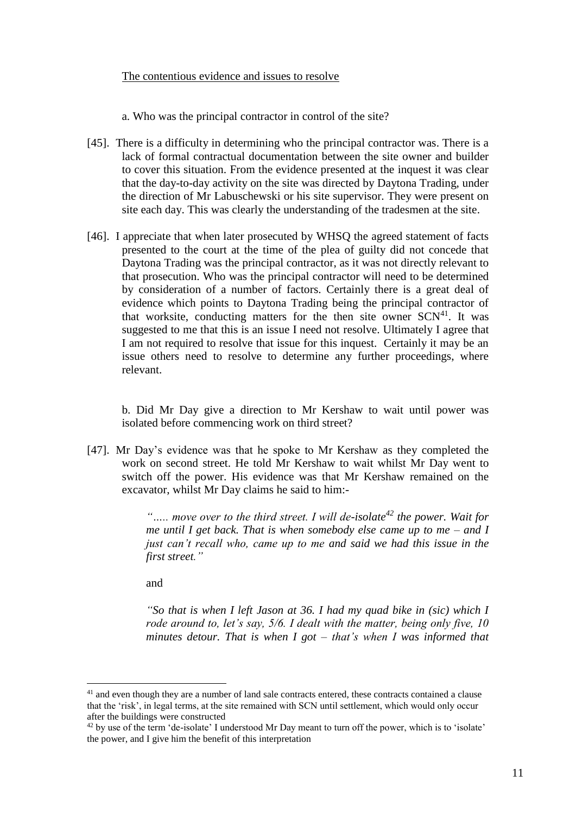#### The contentious evidence and issues to resolve

a. Who was the principal contractor in control of the site?

- [45]. There is a difficulty in determining who the principal contractor was. There is a lack of formal contractual documentation between the site owner and builder to cover this situation. From the evidence presented at the inquest it was clear that the day-to-day activity on the site was directed by Daytona Trading, under the direction of Mr Labuschewski or his site supervisor. They were present on site each day. This was clearly the understanding of the tradesmen at the site.
- [46]. I appreciate that when later prosecuted by WHSQ the agreed statement of facts presented to the court at the time of the plea of guilty did not concede that Daytona Trading was the principal contractor, as it was not directly relevant to that prosecution. Who was the principal contractor will need to be determined by consideration of a number of factors. Certainly there is a great deal of evidence which points to Daytona Trading being the principal contractor of that worksite, conducting matters for the then site owner  $SCN<sup>41</sup>$ . It was suggested to me that this is an issue I need not resolve. Ultimately I agree that I am not required to resolve that issue for this inquest. Certainly it may be an issue others need to resolve to determine any further proceedings, where relevant.

b. Did Mr Day give a direction to Mr Kershaw to wait until power was isolated before commencing work on third street?

[47]. Mr Day's evidence was that he spoke to Mr Kershaw as they completed the work on second street. He told Mr Kershaw to wait whilst Mr Day went to switch off the power. His evidence was that Mr Kershaw remained on the excavator, whilst Mr Day claims he said to him:-

> *"….. move over to the third street. I will de-isolate<sup>42</sup> the power. Wait for me until I get back. That is when somebody else came up to me – and I just can't recall who, came up to me and said we had this issue in the first street."*

and

<u>.</u>

*"So that is when I left Jason at 36. I had my quad bike in (sic) which I rode around to, let's say, 5/6. I dealt with the matter, being only five, 10 minutes detour. That is when I got – that's when I was informed that* 

<sup>&</sup>lt;sup>41</sup> and even though they are a number of land sale contracts entered, these contracts contained a clause that the 'risk', in legal terms, at the site remained with SCN until settlement, which would only occur after the buildings were constructed

<sup>&</sup>lt;sup>42</sup> by use of the term 'de-isolate' I understood Mr Day meant to turn off the power, which is to 'isolate' the power, and I give him the benefit of this interpretation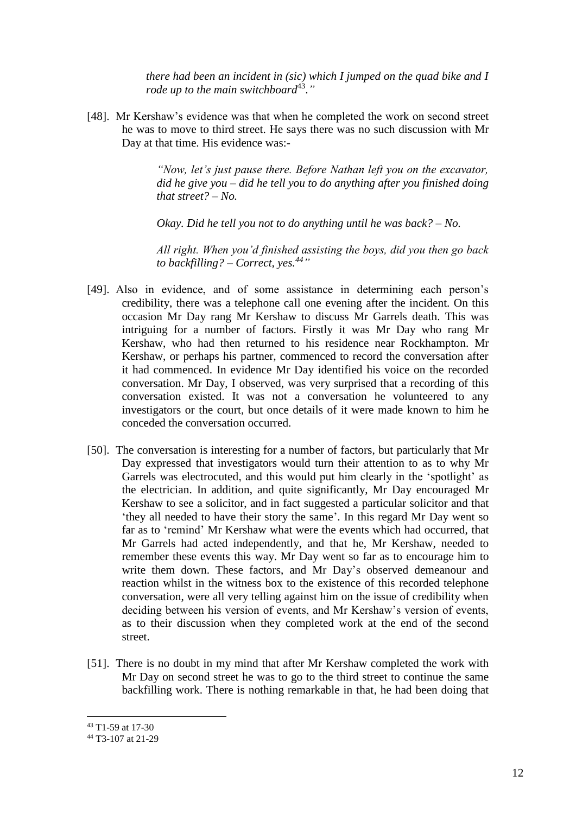*there had been an incident in (sic) which I jumped on the quad bike and I*  rode up to the main switchboard<sup>43</sup>."

[48]. Mr Kershaw's evidence was that when he completed the work on second street he was to move to third street. He says there was no such discussion with Mr Day at that time. His evidence was:-

> *"Now, let's just pause there. Before Nathan left you on the excavator, did he give you – did he tell you to do anything after you finished doing that street? – No.*

*Okay. Did he tell you not to do anything until he was back? – No.*

*All right. When you'd finished assisting the boys, did you then go back to backfilling? – Correct, yes. <sup>44</sup>"*

- [49]. Also in evidence, and of some assistance in determining each person's credibility, there was a telephone call one evening after the incident. On this occasion Mr Day rang Mr Kershaw to discuss Mr Garrels death. This was intriguing for a number of factors. Firstly it was Mr Day who rang Mr Kershaw, who had then returned to his residence near Rockhampton. Mr Kershaw, or perhaps his partner, commenced to record the conversation after it had commenced. In evidence Mr Day identified his voice on the recorded conversation. Mr Day, I observed, was very surprised that a recording of this conversation existed. It was not a conversation he volunteered to any investigators or the court, but once details of it were made known to him he conceded the conversation occurred.
- [50]. The conversation is interesting for a number of factors, but particularly that Mr Day expressed that investigators would turn their attention to as to why Mr Garrels was electrocuted, and this would put him clearly in the 'spotlight' as the electrician. In addition, and quite significantly, Mr Day encouraged Mr Kershaw to see a solicitor, and in fact suggested a particular solicitor and that 'they all needed to have their story the same'. In this regard Mr Day went so far as to 'remind' Mr Kershaw what were the events which had occurred, that Mr Garrels had acted independently, and that he, Mr Kershaw, needed to remember these events this way. Mr Day went so far as to encourage him to write them down. These factors, and Mr Day's observed demeanour and reaction whilst in the witness box to the existence of this recorded telephone conversation, were all very telling against him on the issue of credibility when deciding between his version of events, and Mr Kershaw's version of events, as to their discussion when they completed work at the end of the second street.
- [51]. There is no doubt in my mind that after Mr Kershaw completed the work with Mr Day on second street he was to go to the third street to continue the same backfilling work. There is nothing remarkable in that, he had been doing that

<sup>43</sup> T1-59 at 17-30

<sup>44</sup> T3-107 at 21-29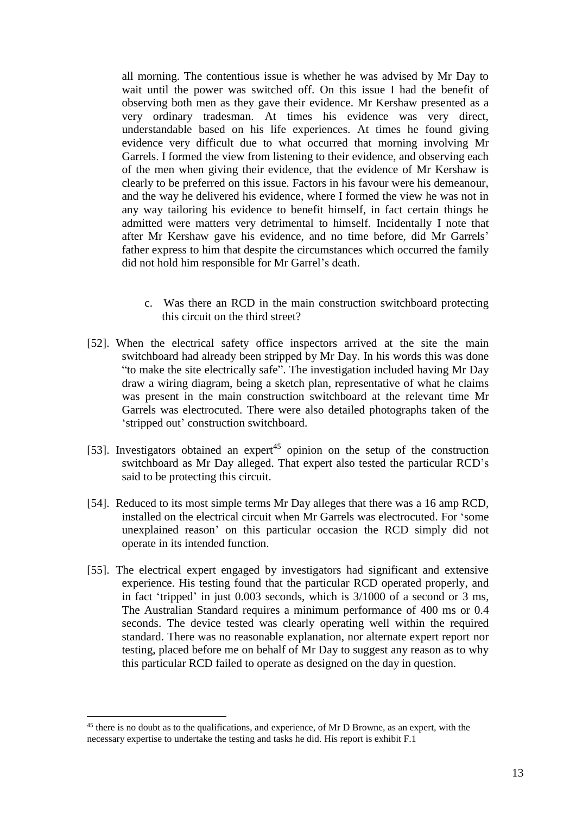all morning. The contentious issue is whether he was advised by Mr Day to wait until the power was switched off. On this issue I had the benefit of observing both men as they gave their evidence. Mr Kershaw presented as a very ordinary tradesman. At times his evidence was very direct, understandable based on his life experiences. At times he found giving evidence very difficult due to what occurred that morning involving Mr Garrels. I formed the view from listening to their evidence, and observing each of the men when giving their evidence, that the evidence of Mr Kershaw is clearly to be preferred on this issue. Factors in his favour were his demeanour, and the way he delivered his evidence, where I formed the view he was not in any way tailoring his evidence to benefit himself, in fact certain things he admitted were matters very detrimental to himself. Incidentally I note that after Mr Kershaw gave his evidence, and no time before, did Mr Garrels' father express to him that despite the circumstances which occurred the family did not hold him responsible for Mr Garrel's death.

- c. Was there an RCD in the main construction switchboard protecting this circuit on the third street?
- [52]. When the electrical safety office inspectors arrived at the site the main switchboard had already been stripped by Mr Day. In his words this was done "to make the site electrically safe". The investigation included having Mr Day draw a wiring diagram, being a sketch plan, representative of what he claims was present in the main construction switchboard at the relevant time Mr Garrels was electrocuted. There were also detailed photographs taken of the 'stripped out' construction switchboard.
- [53]. Investigators obtained an expert<sup>45</sup> opinion on the setup of the construction switchboard as Mr Day alleged. That expert also tested the particular RCD's said to be protecting this circuit.
- [54]. Reduced to its most simple terms Mr Day alleges that there was a 16 amp RCD, installed on the electrical circuit when Mr Garrels was electrocuted. For 'some unexplained reason' on this particular occasion the RCD simply did not operate in its intended function.
- [55]. The electrical expert engaged by investigators had significant and extensive experience. His testing found that the particular RCD operated properly, and in fact 'tripped' in just 0.003 seconds, which is 3/1000 of a second or 3 ms, The Australian Standard requires a minimum performance of 400 ms or 0.4 seconds. The device tested was clearly operating well within the required standard. There was no reasonable explanation, nor alternate expert report nor testing, placed before me on behalf of Mr Day to suggest any reason as to why this particular RCD failed to operate as designed on the day in question.

<sup>&</sup>lt;sup>45</sup> there is no doubt as to the qualifications, and experience, of Mr D Browne, as an expert, with the necessary expertise to undertake the testing and tasks he did. His report is exhibit F.1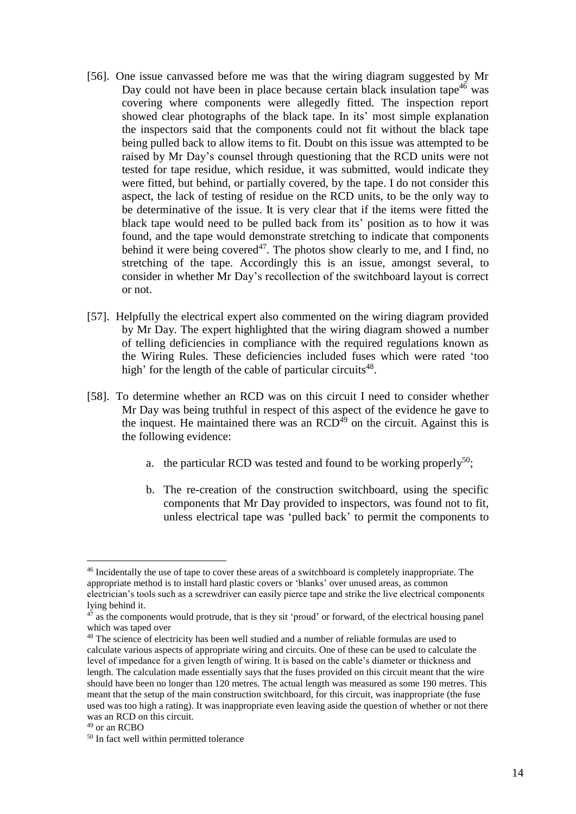- [56]. One issue canvassed before me was that the wiring diagram suggested by Mr Day could not have been in place because certain black insulation tape<sup>46</sup> was covering where components were allegedly fitted. The inspection report showed clear photographs of the black tape. In its' most simple explanation the inspectors said that the components could not fit without the black tape being pulled back to allow items to fit. Doubt on this issue was attempted to be raised by Mr Day's counsel through questioning that the RCD units were not tested for tape residue, which residue, it was submitted, would indicate they were fitted, but behind, or partially covered, by the tape. I do not consider this aspect, the lack of testing of residue on the RCD units, to be the only way to be determinative of the issue. It is very clear that if the items were fitted the black tape would need to be pulled back from its' position as to how it was found, and the tape would demonstrate stretching to indicate that components behind it were being covered<sup>47</sup>. The photos show clearly to me, and I find, no stretching of the tape. Accordingly this is an issue, amongst several, to consider in whether Mr Day's recollection of the switchboard layout is correct or not.
- [57]. Helpfully the electrical expert also commented on the wiring diagram provided by Mr Day. The expert highlighted that the wiring diagram showed a number of telling deficiencies in compliance with the required regulations known as the Wiring Rules. These deficiencies included fuses which were rated 'too high' for the length of the cable of particular circuits<sup>48</sup>.
- [58]. To determine whether an RCD was on this circuit I need to consider whether Mr Day was being truthful in respect of this aspect of the evidence he gave to the inquest. He maintained there was an  $RCD<sup>49</sup>$  on the circuit. Against this is the following evidence:
	- a. the particular RCD was tested and found to be working properly<sup>50</sup>;
	- b. The re-creation of the construction switchboard, using the specific components that Mr Day provided to inspectors, was found not to fit, unless electrical tape was 'pulled back' to permit the components to

<sup>46</sup> Incidentally the use of tape to cover these areas of a switchboard is completely inappropriate. The appropriate method is to install hard plastic covers or 'blanks' over unused areas, as common electrician's tools such as a screwdriver can easily pierce tape and strike the live electrical components lying behind it.

<sup>&</sup>lt;sup>47</sup> as the components would protrude, that is they sit 'proud' or forward, of the electrical housing panel which was taped over

<sup>&</sup>lt;sup>48</sup> The science of electricity has been well studied and a number of reliable formulas are used to calculate various aspects of appropriate wiring and circuits. One of these can be used to calculate the level of impedance for a given length of wiring. It is based on the cable's diameter or thickness and length. The calculation made essentially says that the fuses provided on this circuit meant that the wire should have been no longer than 120 metres. The actual length was measured as some 190 metres. This meant that the setup of the main construction switchboard, for this circuit, was inappropriate (the fuse used was too high a rating). It was inappropriate even leaving aside the question of whether or not there was an RCD on this circuit.

 $49$  or an RCBO

<sup>50</sup> In fact well within permitted tolerance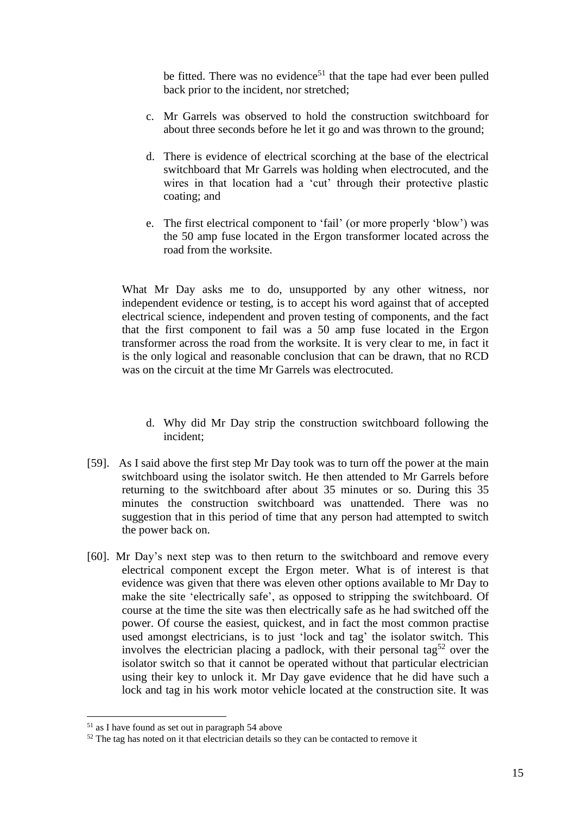be fitted. There was no evidence<sup>51</sup> that the tape had ever been pulled back prior to the incident, nor stretched;

- c. Mr Garrels was observed to hold the construction switchboard for about three seconds before he let it go and was thrown to the ground;
- d. There is evidence of electrical scorching at the base of the electrical switchboard that Mr Garrels was holding when electrocuted, and the wires in that location had a 'cut' through their protective plastic coating; and
- e. The first electrical component to 'fail' (or more properly 'blow') was the 50 amp fuse located in the Ergon transformer located across the road from the worksite.

What Mr Day asks me to do, unsupported by any other witness, nor independent evidence or testing, is to accept his word against that of accepted electrical science, independent and proven testing of components, and the fact that the first component to fail was a 50 amp fuse located in the Ergon transformer across the road from the worksite. It is very clear to me, in fact it is the only logical and reasonable conclusion that can be drawn, that no RCD was on the circuit at the time Mr Garrels was electrocuted.

- d. Why did Mr Day strip the construction switchboard following the incident;
- [59]. As I said above the first step Mr Day took was to turn off the power at the main switchboard using the isolator switch. He then attended to Mr Garrels before returning to the switchboard after about 35 minutes or so. During this 35 minutes the construction switchboard was unattended. There was no suggestion that in this period of time that any person had attempted to switch the power back on.
- [60]. Mr Day's next step was to then return to the switchboard and remove every electrical component except the Ergon meter. What is of interest is that evidence was given that there was eleven other options available to Mr Day to make the site 'electrically safe', as opposed to stripping the switchboard. Of course at the time the site was then electrically safe as he had switched off the power. Of course the easiest, quickest, and in fact the most common practise used amongst electricians, is to just 'lock and tag' the isolator switch. This involves the electrician placing a padlock, with their personal tag<sup>52</sup> over the isolator switch so that it cannot be operated without that particular electrician using their key to unlock it. Mr Day gave evidence that he did have such a lock and tag in his work motor vehicle located at the construction site. It was

 $<sup>51</sup>$  as I have found as set out in paragraph 54 above</sup>

 $52$  The tag has noted on it that electrician details so they can be contacted to remove it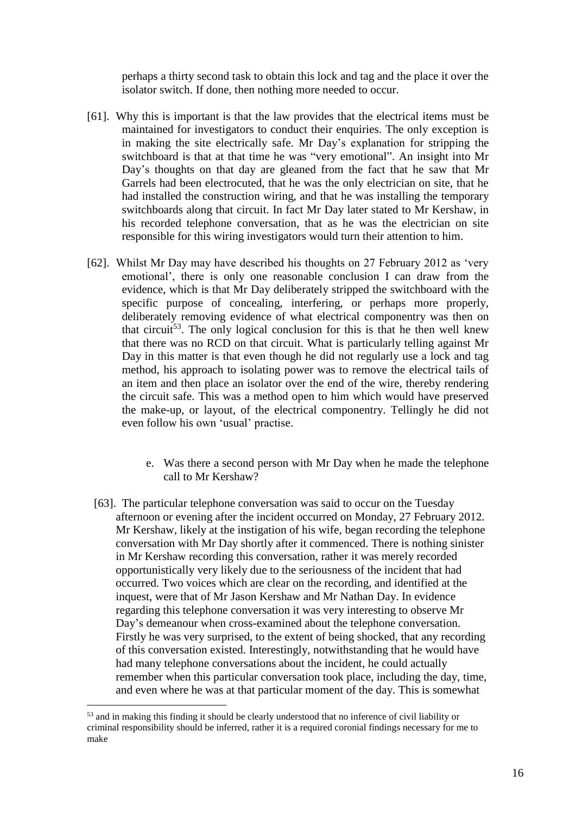perhaps a thirty second task to obtain this lock and tag and the place it over the isolator switch. If done, then nothing more needed to occur.

- [61]. Why this is important is that the law provides that the electrical items must be maintained for investigators to conduct their enquiries. The only exception is in making the site electrically safe. Mr Day's explanation for stripping the switchboard is that at that time he was "very emotional". An insight into Mr Day's thoughts on that day are gleaned from the fact that he saw that Mr Garrels had been electrocuted, that he was the only electrician on site, that he had installed the construction wiring, and that he was installing the temporary switchboards along that circuit. In fact Mr Day later stated to Mr Kershaw, in his recorded telephone conversation, that as he was the electrician on site responsible for this wiring investigators would turn their attention to him.
- [62]. Whilst Mr Day may have described his thoughts on 27 February 2012 as 'very emotional', there is only one reasonable conclusion I can draw from the evidence, which is that Mr Day deliberately stripped the switchboard with the specific purpose of concealing, interfering, or perhaps more properly, deliberately removing evidence of what electrical componentry was then on that circuit<sup>53</sup>. The only logical conclusion for this is that he then well knew that there was no RCD on that circuit. What is particularly telling against Mr Day in this matter is that even though he did not regularly use a lock and tag method, his approach to isolating power was to remove the electrical tails of an item and then place an isolator over the end of the wire, thereby rendering the circuit safe. This was a method open to him which would have preserved the make-up, or layout, of the electrical componentry. Tellingly he did not even follow his own 'usual' practise.
	- e. Was there a second person with Mr Day when he made the telephone call to Mr Kershaw?
	- [63]. The particular telephone conversation was said to occur on the Tuesday afternoon or evening after the incident occurred on Monday, 27 February 2012. Mr Kershaw, likely at the instigation of his wife, began recording the telephone conversation with Mr Day shortly after it commenced. There is nothing sinister in Mr Kershaw recording this conversation, rather it was merely recorded opportunistically very likely due to the seriousness of the incident that had occurred. Two voices which are clear on the recording, and identified at the inquest, were that of Mr Jason Kershaw and Mr Nathan Day. In evidence regarding this telephone conversation it was very interesting to observe Mr Day's demeanour when cross-examined about the telephone conversation. Firstly he was very surprised, to the extent of being shocked, that any recording of this conversation existed. Interestingly, notwithstanding that he would have had many telephone conversations about the incident, he could actually remember when this particular conversation took place, including the day, time, and even where he was at that particular moment of the day. This is somewhat

<sup>&</sup>lt;sup>53</sup> and in making this finding it should be clearly understood that no inference of civil liability or criminal responsibility should be inferred, rather it is a required coronial findings necessary for me to make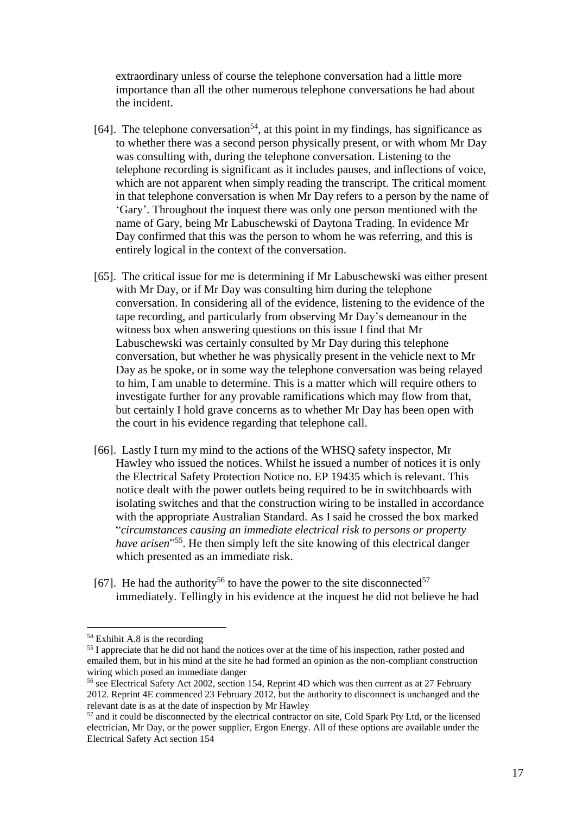extraordinary unless of course the telephone conversation had a little more importance than all the other numerous telephone conversations he had about the incident.

- [64]. The telephone conversation<sup>54</sup>, at this point in my findings, has significance as to whether there was a second person physically present, or with whom Mr Day was consulting with, during the telephone conversation. Listening to the telephone recording is significant as it includes pauses, and inflections of voice, which are not apparent when simply reading the transcript. The critical moment in that telephone conversation is when Mr Day refers to a person by the name of 'Gary'. Throughout the inquest there was only one person mentioned with the name of Gary, being Mr Labuschewski of Daytona Trading. In evidence Mr Day confirmed that this was the person to whom he was referring, and this is entirely logical in the context of the conversation.
- [65]. The critical issue for me is determining if Mr Labuschewski was either present with Mr Day, or if Mr Day was consulting him during the telephone conversation. In considering all of the evidence, listening to the evidence of the tape recording, and particularly from observing Mr Day's demeanour in the witness box when answering questions on this issue I find that Mr Labuschewski was certainly consulted by Mr Day during this telephone conversation, but whether he was physically present in the vehicle next to Mr Day as he spoke, or in some way the telephone conversation was being relayed to him, I am unable to determine. This is a matter which will require others to investigate further for any provable ramifications which may flow from that, but certainly I hold grave concerns as to whether Mr Day has been open with the court in his evidence regarding that telephone call.
- [66]. Lastly I turn my mind to the actions of the WHSQ safety inspector, Mr Hawley who issued the notices. Whilst he issued a number of notices it is only the Electrical Safety Protection Notice no. EP 19435 which is relevant. This notice dealt with the power outlets being required to be in switchboards with isolating switches and that the construction wiring to be installed in accordance with the appropriate Australian Standard. As I said he crossed the box marked "*circumstances causing an immediate electrical risk to persons or property have arisen*" <sup>55</sup>. He then simply left the site knowing of this electrical danger which presented as an immediate risk.
- [67]. He had the authority<sup>56</sup> to have the power to the site disconnected<sup>57</sup> immediately. Tellingly in his evidence at the inquest he did not believe he had

 $54$  Exhibit A.8 is the recording

<sup>&</sup>lt;sup>55</sup> I appreciate that he did not hand the notices over at the time of his inspection, rather posted and emailed them, but in his mind at the site he had formed an opinion as the non-compliant construction wiring which posed an immediate danger

<sup>&</sup>lt;sup>56</sup> see Electrical Safety Act 2002, section 154, Reprint 4D which was then current as at 27 February 2012. Reprint 4E commenced 23 February 2012, but the authority to disconnect is unchanged and the relevant date is as at the date of inspection by Mr Hawley

<sup>&</sup>lt;sup>57</sup> and it could be disconnected by the electrical contractor on site, Cold Spark Pty Ltd, or the licensed electrician, Mr Day, or the power supplier, Ergon Energy. All of these options are available under the Electrical Safety Act section 154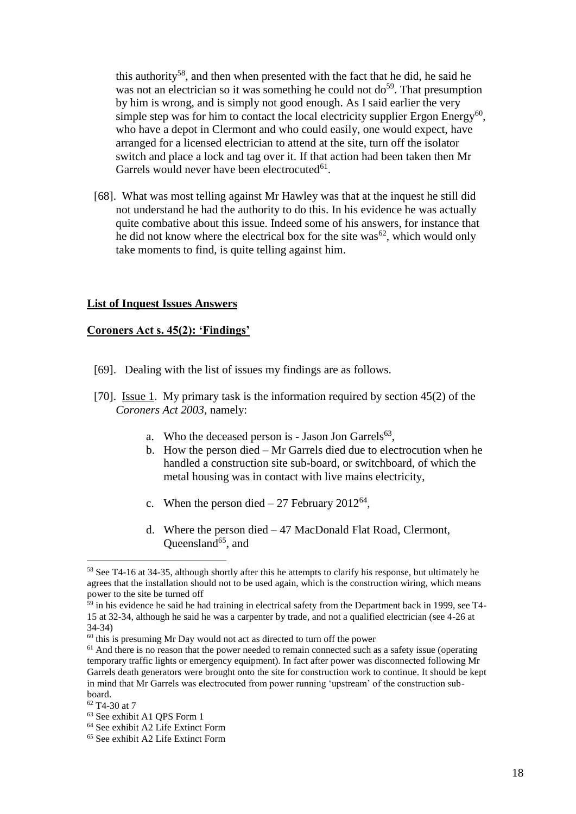this authority<sup>58</sup>, and then when presented with the fact that he did, he said he was not an electrician so it was something he could not  $do<sup>59</sup>$ . That presumption by him is wrong, and is simply not good enough. As I said earlier the very simple step was for him to contact the local electricity supplier Ergon Energy<sup>60</sup>, who have a depot in Clermont and who could easily, one would expect, have arranged for a licensed electrician to attend at the site, turn off the isolator switch and place a lock and tag over it. If that action had been taken then Mr Garrels would never have been electrocuted $61$ .

[68]. What was most telling against Mr Hawley was that at the inquest he still did not understand he had the authority to do this. In his evidence he was actually quite combative about this issue. Indeed some of his answers, for instance that he did not know where the electrical box for the site was<sup>62</sup>, which would only take moments to find, is quite telling against him.

#### **List of Inquest Issues Answers**

#### **Coroners Act s. 45(2): 'Findings'**

- [69]. Dealing with the list of issues my findings are as follows.
- [70]. Issue 1. My primary task is the information required by section 45(2) of the *Coroners Act 2003*, namely:
	- a. Who the deceased person is Jason Jon Garrels $<sup>63</sup>$ ,</sup>
	- b. How the person died Mr Garrels died due to electrocution when he handled a construction site sub-board, or switchboard, of which the metal housing was in contact with live mains electricity,
	- c. When the person died  $-27$  February 2012<sup>64</sup>,
	- d. Where the person died 47 MacDonald Flat Road, Clermont, Queensland<sup>65</sup>, and

<sup>&</sup>lt;sup>58</sup> See T4-16 at 34-35, although shortly after this he attempts to clarify his response, but ultimately he agrees that the installation should not to be used again, which is the construction wiring, which means power to the site be turned off

<sup>&</sup>lt;sup>59</sup> in his evidence he said he had training in electrical safety from the Department back in 1999, see T4-15 at 32-34, although he said he was a carpenter by trade, and not a qualified electrician (see 4-26 at 34-34)

 $60$  this is presuming Mr Day would not act as directed to turn off the power

 $61$  And there is no reason that the power needed to remain connected such as a safety issue (operating temporary traffic lights or emergency equipment). In fact after power was disconnected following Mr Garrels death generators were brought onto the site for construction work to continue. It should be kept in mind that Mr Garrels was electrocuted from power running 'upstream' of the construction subboard.

<sup>62</sup> T4-30 at 7

<sup>63</sup> See exhibit A1 QPS Form 1

<sup>64</sup> See exhibit A2 Life Extinct Form

<sup>65</sup> See exhibit A2 Life Extinct Form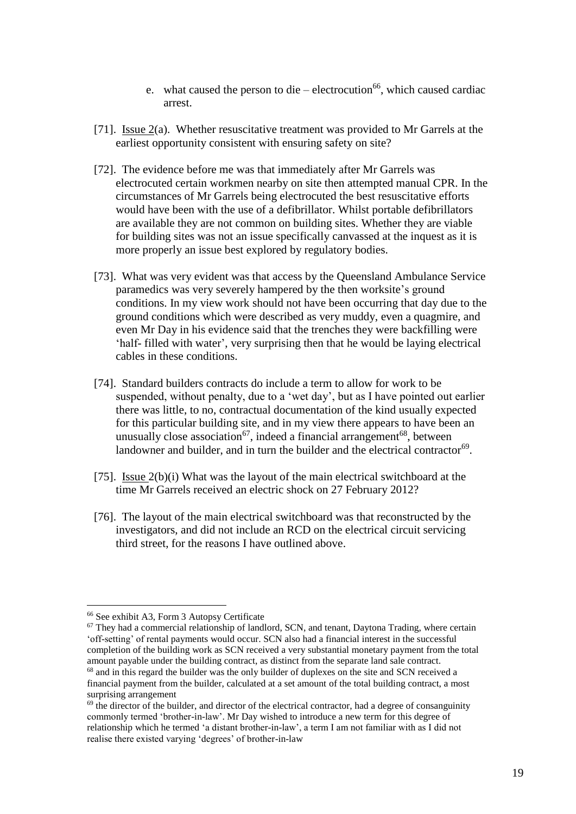- e. what caused the person to die electrocution<sup>66</sup>, which caused cardiac arrest.
- [71]. Issue 2(a). Whether resuscitative treatment was provided to Mr Garrels at the earliest opportunity consistent with ensuring safety on site?
- [72]. The evidence before me was that immediately after Mr Garrels was electrocuted certain workmen nearby on site then attempted manual CPR. In the circumstances of Mr Garrels being electrocuted the best resuscitative efforts would have been with the use of a defibrillator. Whilst portable defibrillators are available they are not common on building sites. Whether they are viable for building sites was not an issue specifically canvassed at the inquest as it is more properly an issue best explored by regulatory bodies.
- [73]. What was very evident was that access by the Queensland Ambulance Service paramedics was very severely hampered by the then worksite's ground conditions. In my view work should not have been occurring that day due to the ground conditions which were described as very muddy, even a quagmire, and even Mr Day in his evidence said that the trenches they were backfilling were 'half- filled with water', very surprising then that he would be laying electrical cables in these conditions.
- [74]. Standard builders contracts do include a term to allow for work to be suspended, without penalty, due to a 'wet day', but as I have pointed out earlier there was little, to no, contractual documentation of the kind usually expected for this particular building site, and in my view there appears to have been an unusually close association<sup>67</sup>, indeed a financial arrangement<sup>68</sup>, between landowner and builder, and in turn the builder and the electrical contractor<sup>69</sup>.
- [75]. Issue 2(b)(i) What was the layout of the main electrical switchboard at the time Mr Garrels received an electric shock on 27 February 2012?
- [76]. The layout of the main electrical switchboard was that reconstructed by the investigators, and did not include an RCD on the electrical circuit servicing third street, for the reasons I have outlined above.

<sup>66</sup> See exhibit A3, Form 3 Autopsy Certificate

 $67$  They had a commercial relationship of landlord, SCN, and tenant, Daytona Trading, where certain 'off-setting' of rental payments would occur. SCN also had a financial interest in the successful completion of the building work as SCN received a very substantial monetary payment from the total amount payable under the building contract, as distinct from the separate land sale contract. <sup>68</sup> and in this regard the builder was the only builder of duplexes on the site and SCN received a

financial payment from the builder, calculated at a set amount of the total building contract, a most surprising arrangement

 $69$  the director of the builder, and director of the electrical contractor, had a degree of consanguinity commonly termed 'brother-in-law'. Mr Day wished to introduce a new term for this degree of relationship which he termed 'a distant brother-in-law', a term I am not familiar with as I did not realise there existed varying 'degrees' of brother-in-law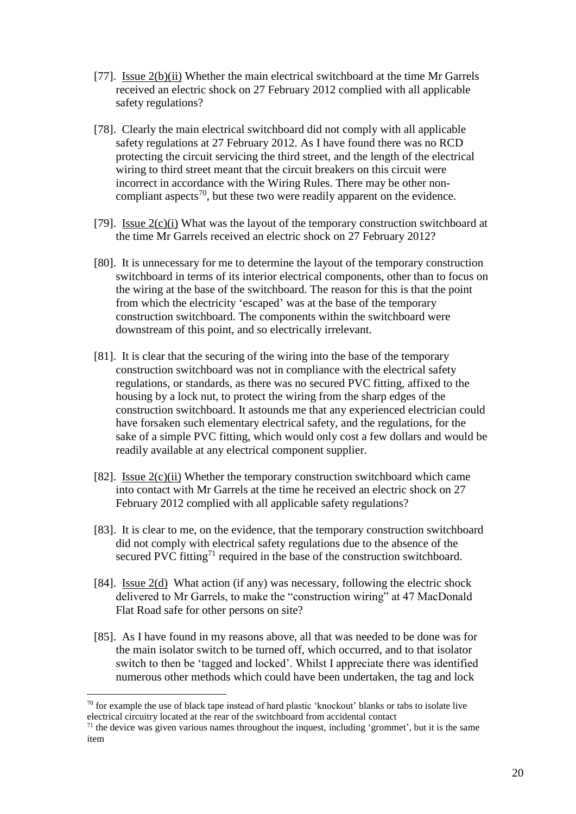- [77]. Issue 2(b)(ii) Whether the main electrical switchboard at the time Mr Garrels received an electric shock on 27 February 2012 complied with all applicable safety regulations?
- [78]. Clearly the main electrical switchboard did not comply with all applicable safety regulations at 27 February 2012. As I have found there was no RCD protecting the circuit servicing the third street, and the length of the electrical wiring to third street meant that the circuit breakers on this circuit were incorrect in accordance with the Wiring Rules. There may be other noncompliant aspects<sup>70</sup>, but these two were readily apparent on the evidence.
- [79]. Issue  $2(c)(i)$  What was the layout of the temporary construction switchboard at the time Mr Garrels received an electric shock on 27 February 2012?
- [80]. It is unnecessary for me to determine the layout of the temporary construction switchboard in terms of its interior electrical components, other than to focus on the wiring at the base of the switchboard. The reason for this is that the point from which the electricity 'escaped' was at the base of the temporary construction switchboard. The components within the switchboard were downstream of this point, and so electrically irrelevant.
- [81]. It is clear that the securing of the wiring into the base of the temporary construction switchboard was not in compliance with the electrical safety regulations, or standards, as there was no secured PVC fitting, affixed to the housing by a lock nut, to protect the wiring from the sharp edges of the construction switchboard. It astounds me that any experienced electrician could have forsaken such elementary electrical safety, and the regulations, for the sake of a simple PVC fitting, which would only cost a few dollars and would be readily available at any electrical component supplier.
- [82]. Issue  $2(c)(ii)$  Whether the temporary construction switchboard which came into contact with Mr Garrels at the time he received an electric shock on 27 February 2012 complied with all applicable safety regulations?
- [83]. It is clear to me, on the evidence, that the temporary construction switchboard did not comply with electrical safety regulations due to the absence of the secured PVC fitting<sup>71</sup> required in the base of the construction switchboard.
- [84]. Issue 2(d) What action (if any) was necessary, following the electric shock delivered to Mr Garrels, to make the "construction wiring" at 47 MacDonald Flat Road safe for other persons on site?
- [85]. As I have found in my reasons above, all that was needed to be done was for the main isolator switch to be turned off, which occurred, and to that isolator switch to then be 'tagged and locked'. Whilst I appreciate there was identified numerous other methods which could have been undertaken, the tag and lock

 $70$  for example the use of black tape instead of hard plastic 'knockout' blanks or tabs to isolate live electrical circuitry located at the rear of the switchboard from accidental contact

 $<sup>71</sup>$  the device was given various names throughout the inquest, including 'grommet', but it is the same</sup> item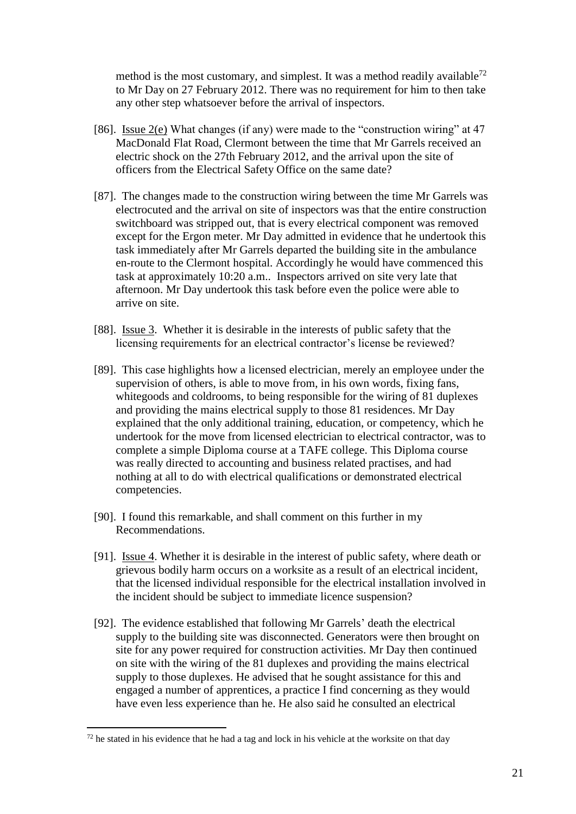method is the most customary, and simplest. It was a method readily available<sup>72</sup> to Mr Day on 27 February 2012. There was no requirement for him to then take any other step whatsoever before the arrival of inspectors.

- [86]. Issue 2(e) What changes (if any) were made to the "construction wiring" at 47 MacDonald Flat Road, Clermont between the time that Mr Garrels received an electric shock on the 27th February 2012, and the arrival upon the site of officers from the Electrical Safety Office on the same date?
- [87]. The changes made to the construction wiring between the time Mr Garrels was electrocuted and the arrival on site of inspectors was that the entire construction switchboard was stripped out, that is every electrical component was removed except for the Ergon meter. Mr Day admitted in evidence that he undertook this task immediately after Mr Garrels departed the building site in the ambulance en-route to the Clermont hospital. Accordingly he would have commenced this task at approximately 10:20 a.m.. Inspectors arrived on site very late that afternoon. Mr Day undertook this task before even the police were able to arrive on site.
- [88]. Issue 3. Whether it is desirable in the interests of public safety that the licensing requirements for an electrical contractor's license be reviewed?
- [89]. This case highlights how a licensed electrician, merely an employee under the supervision of others, is able to move from, in his own words, fixing fans, whitegoods and coldrooms, to being responsible for the wiring of 81 duplexes and providing the mains electrical supply to those 81 residences. Mr Day explained that the only additional training, education, or competency, which he undertook for the move from licensed electrician to electrical contractor, was to complete a simple Diploma course at a TAFE college. This Diploma course was really directed to accounting and business related practises, and had nothing at all to do with electrical qualifications or demonstrated electrical competencies.
- [90]. I found this remarkable, and shall comment on this further in my Recommendations.
- [91]. Issue 4. Whether it is desirable in the interest of public safety, where death or grievous bodily harm occurs on a worksite as a result of an electrical incident, that the licensed individual responsible for the electrical installation involved in the incident should be subject to immediate licence suspension?
- [92]. The evidence established that following Mr Garrels' death the electrical supply to the building site was disconnected. Generators were then brought on site for any power required for construction activities. Mr Day then continued on site with the wiring of the 81 duplexes and providing the mains electrical supply to those duplexes. He advised that he sought assistance for this and engaged a number of apprentices, a practice I find concerning as they would have even less experience than he. He also said he consulted an electrical

 $72$  he stated in his evidence that he had a tag and lock in his vehicle at the worksite on that day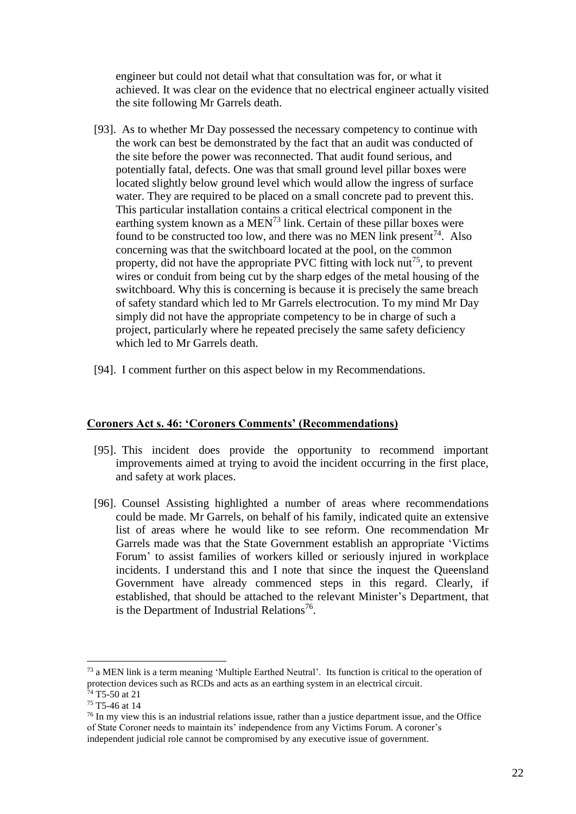engineer but could not detail what that consultation was for, or what it achieved. It was clear on the evidence that no electrical engineer actually visited the site following Mr Garrels death.

- [93]. As to whether Mr Day possessed the necessary competency to continue with the work can best be demonstrated by the fact that an audit was conducted of the site before the power was reconnected. That audit found serious, and potentially fatal, defects. One was that small ground level pillar boxes were located slightly below ground level which would allow the ingress of surface water. They are required to be placed on a small concrete pad to prevent this. This particular installation contains a critical electrical component in the earthing system known as a MEN<sup>73</sup> link. Certain of these pillar boxes were found to be constructed too low, and there was no MEN link present<sup>74</sup>. Also concerning was that the switchboard located at the pool, on the common property, did not have the appropriate PVC fitting with lock  $\text{nut}^{75}$ , to prevent wires or conduit from being cut by the sharp edges of the metal housing of the switchboard. Why this is concerning is because it is precisely the same breach of safety standard which led to Mr Garrels electrocution. To my mind Mr Day simply did not have the appropriate competency to be in charge of such a project, particularly where he repeated precisely the same safety deficiency which led to Mr Garrels death.
- [94]. I comment further on this aspect below in my Recommendations.

## **Coroners Act s. 46: 'Coroners Comments' (Recommendations)**

- [95]. This incident does provide the opportunity to recommend important improvements aimed at trying to avoid the incident occurring in the first place, and safety at work places.
- [96]. Counsel Assisting highlighted a number of areas where recommendations could be made. Mr Garrels, on behalf of his family, indicated quite an extensive list of areas where he would like to see reform. One recommendation Mr Garrels made was that the State Government establish an appropriate 'Victims Forum' to assist families of workers killed or seriously injured in workplace incidents. I understand this and I note that since the inquest the Queensland Government have already commenced steps in this regard. Clearly, if established, that should be attached to the relevant Minister's Department, that is the Department of Industrial Relations<sup>76</sup>.

<sup>73</sup> a MEN link is a term meaning 'Multiple Earthed Neutral'. Its function is critical to the operation of protection devices such as RCDs and acts as an earthing system in an electrical circuit.  $74$  T5-50 at 21

<sup>75</sup> T5-46 at 14

<sup>76</sup> In my view this is an industrial relations issue, rather than a justice department issue, and the Office of State Coroner needs to maintain its' independence from any Victims Forum. A coroner's independent judicial role cannot be compromised by any executive issue of government.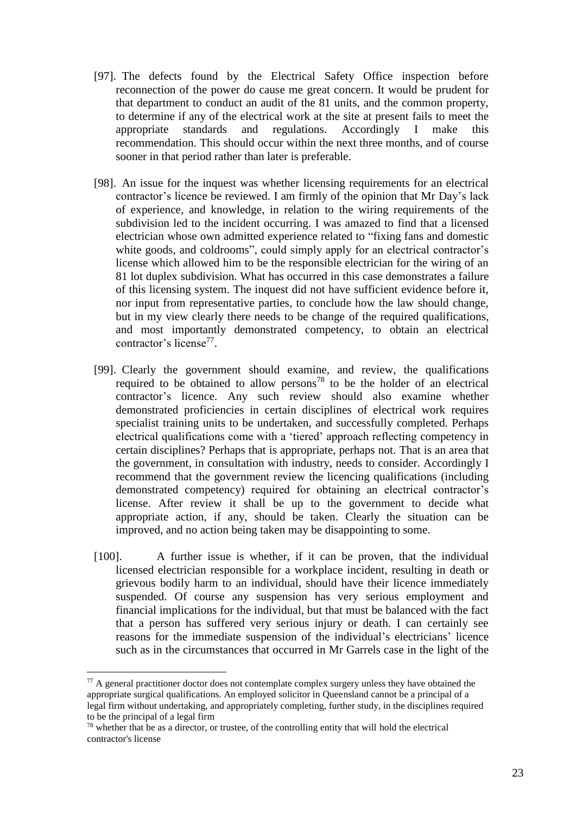- [97]. The defects found by the Electrical Safety Office inspection before reconnection of the power do cause me great concern. It would be prudent for that department to conduct an audit of the 81 units, and the common property, to determine if any of the electrical work at the site at present fails to meet the appropriate standards and regulations. Accordingly I make this recommendation. This should occur within the next three months, and of course sooner in that period rather than later is preferable.
- [98]. An issue for the inquest was whether licensing requirements for an electrical contractor's licence be reviewed. I am firmly of the opinion that Mr Day's lack of experience, and knowledge, in relation to the wiring requirements of the subdivision led to the incident occurring. I was amazed to find that a licensed electrician whose own admitted experience related to "fixing fans and domestic white goods, and coldrooms", could simply apply for an electrical contractor's license which allowed him to be the responsible electrician for the wiring of an 81 lot duplex subdivision. What has occurred in this case demonstrates a failure of this licensing system. The inquest did not have sufficient evidence before it, nor input from representative parties, to conclude how the law should change, but in my view clearly there needs to be change of the required qualifications, and most importantly demonstrated competency, to obtain an electrical contractor's license<sup>77</sup>.
- [99]. Clearly the government should examine, and review, the qualifications required to be obtained to allow persons<sup>78</sup> to be the holder of an electrical contractor's licence. Any such review should also examine whether demonstrated proficiencies in certain disciplines of electrical work requires specialist training units to be undertaken, and successfully completed. Perhaps electrical qualifications come with a 'tiered' approach reflecting competency in certain disciplines? Perhaps that is appropriate, perhaps not. That is an area that the government, in consultation with industry, needs to consider. Accordingly I recommend that the government review the licencing qualifications (including demonstrated competency) required for obtaining an electrical contractor's license. After review it shall be up to the government to decide what appropriate action, if any, should be taken. Clearly the situation can be improved, and no action being taken may be disappointing to some.
- [100]. A further issue is whether, if it can be proven, that the individual licensed electrician responsible for a workplace incident, resulting in death or grievous bodily harm to an individual, should have their licence immediately suspended. Of course any suspension has very serious employment and financial implications for the individual, but that must be balanced with the fact that a person has suffered very serious injury or death. I can certainly see reasons for the immediate suspension of the individual's electricians' licence such as in the circumstances that occurred in Mr Garrels case in the light of the

 $77$  A general practitioner doctor does not contemplate complex surgery unless they have obtained the appropriate surgical qualifications. An employed solicitor in Queensland cannot be a principal of a legal firm without undertaking, and appropriately completing, further study, in the disciplines required to be the principal of a legal firm

 $78$  whether that be as a director, or trustee, of the controlling entity that will hold the electrical contractor's license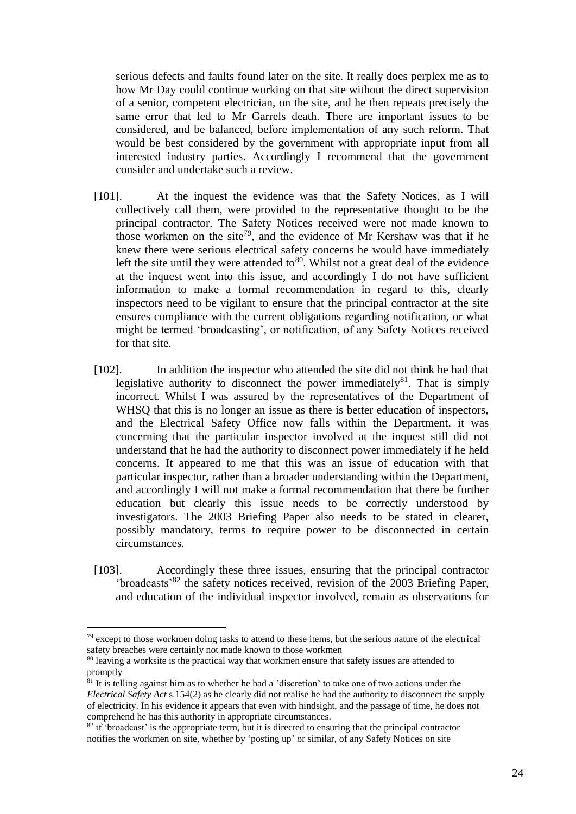serious defects and faults found later on the site. It really does perplex me as to how Mr Day could continue working on that site without the direct supervision of a senior, competent electrician, on the site, and he then repeats precisely the same error that led to Mr Garrels death. There are important issues to be considered, and be balanced, before implementation of any such reform. That would be best considered by the government with appropriate input from all interested industry parties. Accordingly I recommend that the government consider and undertake such a review.

- [101]. At the inquest the evidence was that the Safety Notices, as I will collectively call them, were provided to the representative thought to be the principal contractor. The Safety Notices received were not made known to those workmen on the site<sup>79</sup>, and the evidence of Mr Kershaw was that if he knew there were serious electrical safety concerns he would have immediately left the site until they were attended to  $80^\circ$ . Whilst not a great deal of the evidence at the inquest went into this issue, and accordingly I do not have sufficient information to make a formal recommendation in regard to this, clearly inspectors need to be vigilant to ensure that the principal contractor at the site ensures compliance with the current obligations regarding notification, or what might be termed 'broadcasting', or notification, of any Safety Notices received for that site.
- [102]. In addition the inspector who attended the site did not think he had that legislative authority to disconnect the power immediately<sup>81</sup>. That is simply incorrect. Whilst I was assured by the representatives of the Department of WHSQ that this is no longer an issue as there is better education of inspectors, and the Electrical Safety Office now falls within the Department, it was concerning that the particular inspector involved at the inquest still did not understand that he had the authority to disconnect power immediately if he held concerns. It appeared to me that this was an issue of education with that particular inspector, rather than a broader understanding within the Department, and accordingly I will not make a formal recommendation that there be further education but clearly this issue needs to be correctly understood by investigators. The 2003 Briefing Paper also needs to be stated in clearer, possibly mandatory, terms to require power to be disconnected in certain circumstances.
- [103]. Accordingly these three issues, ensuring that the principal contractor 'broadcasts'<sup>82</sup> the safety notices received, revision of the 2003 Briefing Paper, and education of the individual inspector involved, remain as observations for

 $79$  except to those workmen doing tasks to attend to these items, but the serious nature of the electrical safety breaches were certainly not made known to those workmen

<sup>&</sup>lt;sup>80</sup> leaving a worksite is the practical way that workmen ensure that safety issues are attended to promptly

<sup>&</sup>lt;sup>81</sup> It is telling against him as to whether he had a 'discretion' to take one of two actions under the *Electrical Safety Act* s.154(2) as he clearly did not realise he had the authority to disconnect the supply of electricity. In his evidence it appears that even with hindsight, and the passage of time, he does not comprehend he has this authority in appropriate circumstances.

 $82$  if 'broadcast' is the appropriate term, but it is directed to ensuring that the principal contractor notifies the workmen on site, whether by 'posting up' or similar, of any Safety Notices on site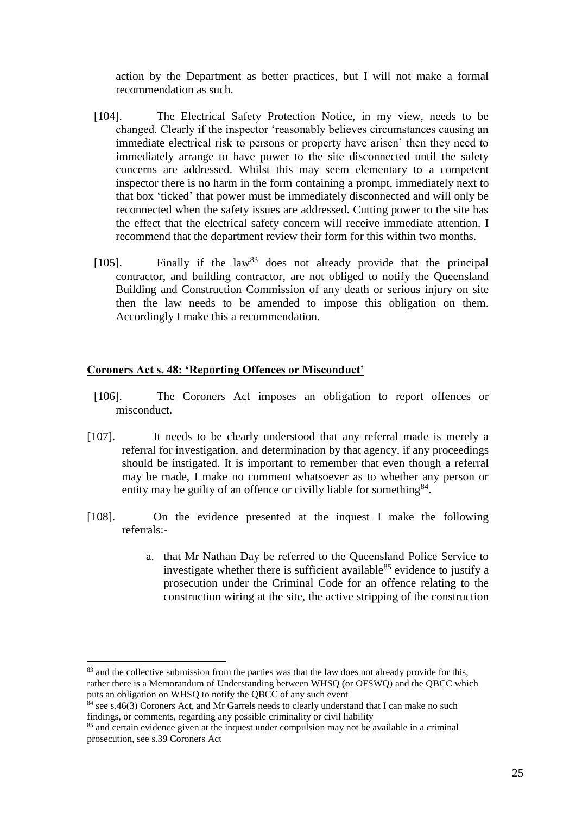action by the Department as better practices, but I will not make a formal recommendation as such.

- [104]. The Electrical Safety Protection Notice, in my view, needs to be changed. Clearly if the inspector 'reasonably believes circumstances causing an immediate electrical risk to persons or property have arisen' then they need to immediately arrange to have power to the site disconnected until the safety concerns are addressed. Whilst this may seem elementary to a competent inspector there is no harm in the form containing a prompt, immediately next to that box 'ticked' that power must be immediately disconnected and will only be reconnected when the safety issues are addressed. Cutting power to the site has the effect that the electrical safety concern will receive immediate attention. I recommend that the department review their form for this within two months.
- [105]. Finally if the law<sup>83</sup> does not already provide that the principal contractor, and building contractor, are not obliged to notify the Queensland Building and Construction Commission of any death or serious injury on site then the law needs to be amended to impose this obligation on them. Accordingly I make this a recommendation.

## **Coroners Act s. 48: 'Reporting Offences or Misconduct'**

- [106]. The Coroners Act imposes an obligation to report offences or misconduct.
- [107]. It needs to be clearly understood that any referral made is merely a referral for investigation, and determination by that agency, if any proceedings should be instigated. It is important to remember that even though a referral may be made, I make no comment whatsoever as to whether any person or entity may be guilty of an offence or civilly liable for something<sup>84</sup>.
- [108]. On the evidence presented at the inquest I make the following referrals:
	- a. that Mr Nathan Day be referred to the Queensland Police Service to investigate whether there is sufficient available<sup>85</sup> evidence to justify a prosecution under the Criminal Code for an offence relating to the construction wiring at the site, the active stripping of the construction

<sup>&</sup>lt;sup>83</sup> and the collective submission from the parties was that the law does not already provide for this, rather there is a Memorandum of Understanding between WHSQ (or OFSWQ) and the QBCC which puts an obligation on WHSQ to notify the QBCC of any such event

 $\frac{84}{1}$  see s.46(3) Coroners Act, and Mr Garrels needs to clearly understand that I can make no such findings, or comments, regarding any possible criminality or civil liability

<sup>&</sup>lt;sup>85</sup> and certain evidence given at the inquest under compulsion may not be available in a criminal prosecution, see s.39 Coroners Act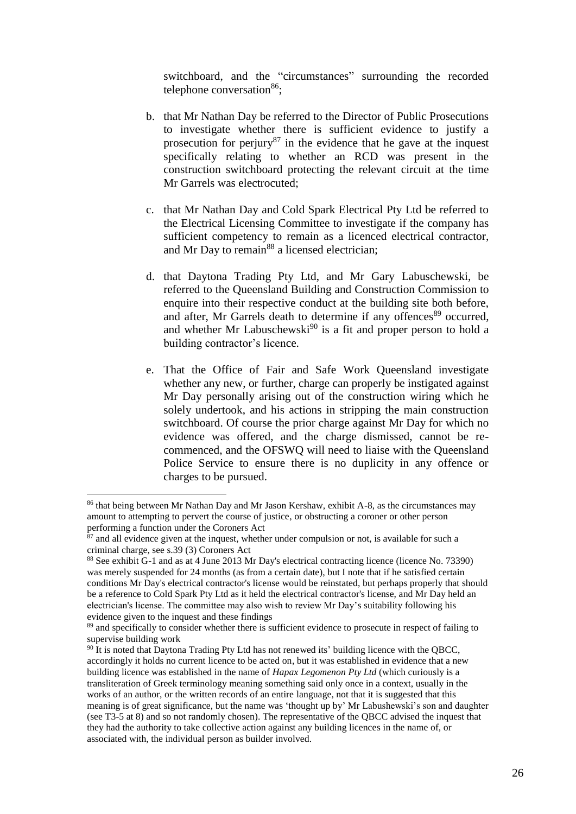switchboard, and the "circumstances" surrounding the recorded telephone conversation<sup>86</sup>;

- b. that Mr Nathan Day be referred to the Director of Public Prosecutions to investigate whether there is sufficient evidence to justify a prosecution for perjury $87$  in the evidence that he gave at the inquest specifically relating to whether an RCD was present in the construction switchboard protecting the relevant circuit at the time Mr Garrels was electrocuted;
- c. that Mr Nathan Day and Cold Spark Electrical Pty Ltd be referred to the Electrical Licensing Committee to investigate if the company has sufficient competency to remain as a licenced electrical contractor, and Mr Day to remain<sup>88</sup> a licensed electrician;
- d. that Daytona Trading Pty Ltd, and Mr Gary Labuschewski, be referred to the Queensland Building and Construction Commission to enquire into their respective conduct at the building site both before. and after, Mr Garrels death to determine if any offences<sup>89</sup> occurred, and whether Mr Labuschewski<sup>90</sup> is a fit and proper person to hold a building contractor's licence.
- e. That the Office of Fair and Safe Work Queensland investigate whether any new, or further, charge can properly be instigated against Mr Day personally arising out of the construction wiring which he solely undertook, and his actions in stripping the main construction switchboard. Of course the prior charge against Mr Day for which no evidence was offered, and the charge dismissed, cannot be recommenced, and the OFSWQ will need to liaise with the Queensland Police Service to ensure there is no duplicity in any offence or charges to be pursued.

<sup>86</sup> that being between Mr Nathan Day and Mr Jason Kershaw, exhibit A-8, as the circumstances may amount to attempting to pervert the course of justice, or obstructing a coroner or other person performing a function under the Coroners Act

 $87$  and all evidence given at the inquest, whether under compulsion or not, is available for such a criminal charge, see s.39 (3) Coroners Act

<sup>88</sup> See exhibit G-1 and as at 4 June 2013 Mr Day's electrical contracting licence (licence No. 73390) was merely suspended for 24 months (as from a certain date), but I note that if he satisfied certain conditions Mr Day's electrical contractor's license would be reinstated, but perhaps properly that should be a reference to Cold Spark Pty Ltd as it held the electrical contractor's license, and Mr Day held an electrician's license. The committee may also wish to review Mr Day's suitability following his evidence given to the inquest and these findings

<sup>&</sup>lt;sup>89</sup> and specifically to consider whether there is sufficient evidence to prosecute in respect of failing to supervise building work

 $90$  It is noted that Daytona Trading Pty Ltd has not renewed its' building licence with the QBCC, accordingly it holds no current licence to be acted on, but it was established in evidence that a new building licence was established in the name of *Hapax Legomenon Pty Ltd* (which curiously is a transliteration of Greek terminology meaning something said only once in a context, usually in the works of an author, or the written records of an entire language, not that it is suggested that this meaning is of great significance, but the name was 'thought up by' Mr Labushewski's son and daughter (see T3-5 at 8) and so not randomly chosen). The representative of the QBCC advised the inquest that they had the authority to take collective action against any building licences in the name of, or associated with, the individual person as builder involved.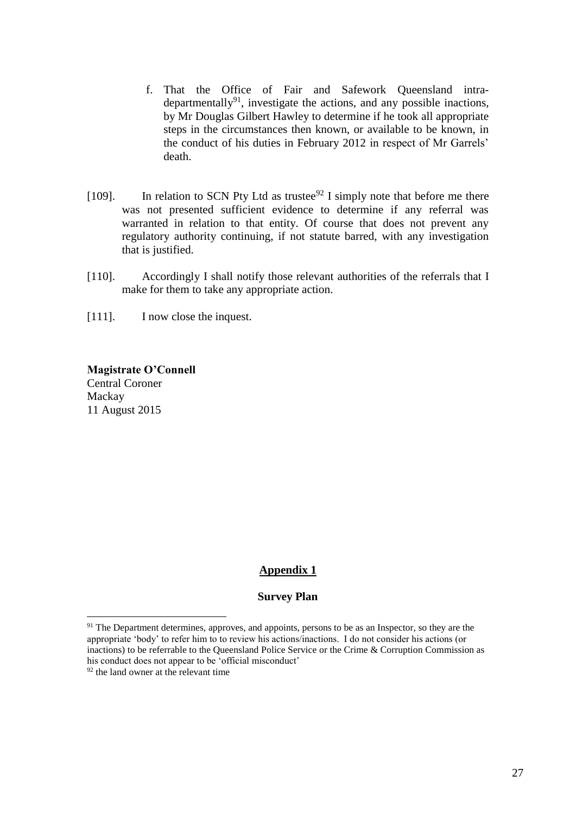- f. That the Office of Fair and Safework Queensland intradepartmentally $91$ , investigate the actions, and any possible inactions, by Mr Douglas Gilbert Hawley to determine if he took all appropriate steps in the circumstances then known, or available to be known, in the conduct of his duties in February 2012 in respect of Mr Garrels' death.
- [109]. In relation to SCN Pty Ltd as trustee<sup>92</sup> I simply note that before me there was not presented sufficient evidence to determine if any referral was warranted in relation to that entity. Of course that does not prevent any regulatory authority continuing, if not statute barred, with any investigation that is justified.
- [110]. Accordingly I shall notify those relevant authorities of the referrals that I make for them to take any appropriate action.
- [111]. I now close the inquest.

**Magistrate O'Connell** Central Coroner Mackay 11 August 2015

## **Appendix 1**

## **Survey Plan**

<sup>&</sup>lt;sup>91</sup> The Department determines, approves, and appoints, persons to be as an Inspector, so they are the appropriate 'body' to refer him to to review his actions/inactions. I do not consider his actions (or inactions) to be referrable to the Queensland Police Service or the Crime & Corruption Commission as his conduct does not appear to be 'official misconduct'

 $92$  the land owner at the relevant time